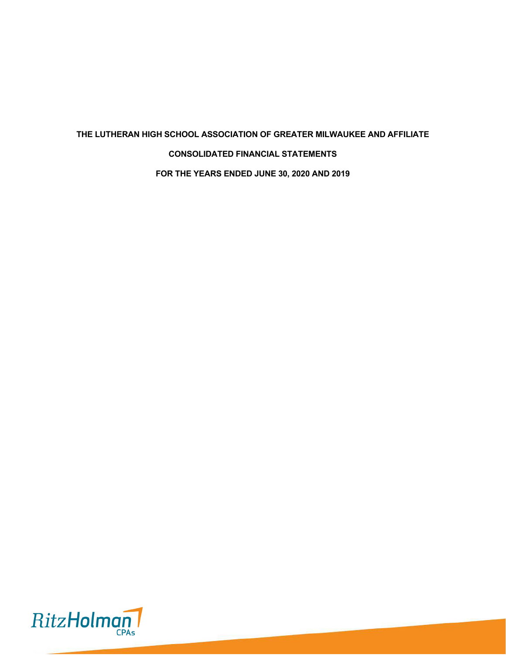# **THE LUTHERAN HIGH SCHOOL ASSOCIATION OF GREATER MILWAUKEE AND AFFILIATE CONSOLIDATED FINANCIAL STATEMENTS FOR THE YEARS ENDED JUNE 30, 2020 AND 2019**

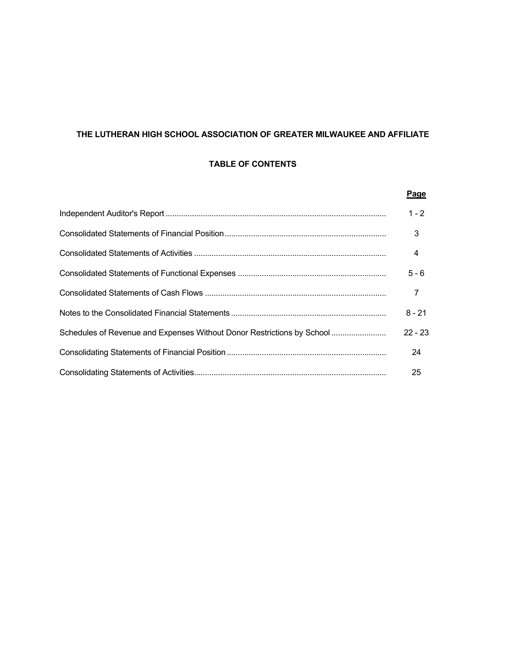# **THE LUTHERAN HIGH SCHOOL ASSOCIATION OF GREATER MILWAUKEE AND AFFILIATE**

# **TABLE OF CONTENTS**

|                                                                        | Page           |
|------------------------------------------------------------------------|----------------|
|                                                                        | $1 - 2$        |
|                                                                        | 3              |
|                                                                        | $\overline{4}$ |
|                                                                        | $5 - 6$        |
|                                                                        | $\overline{7}$ |
|                                                                        | $8 - 21$       |
| Schedules of Revenue and Expenses Without Donor Restrictions by School | $22 - 23$      |
|                                                                        | 24             |
|                                                                        | 25             |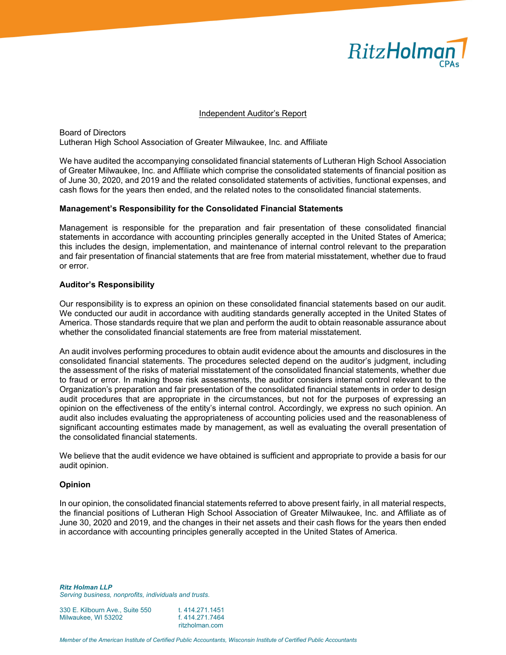

#### Independent Auditor's Report

Board of Directors Lutheran High School Association of Greater Milwaukee, Inc. and Affiliate

We have audited the accompanying consolidated financial statements of Lutheran High School Association of Greater Milwaukee, Inc. and Affiliate which comprise the consolidated statements of financial position as of June 30, 2020, and 2019 and the related consolidated statements of activities, functional expenses, and cash flows for the years then ended, and the related notes to the consolidated financial statements.

#### **Management's Responsibility for the Consolidated Financial Statements**

Management is responsible for the preparation and fair presentation of these consolidated financial statements in accordance with accounting principles generally accepted in the United States of America; this includes the design, implementation, and maintenance of internal control relevant to the preparation and fair presentation of financial statements that are free from material misstatement, whether due to fraud or error.

#### **Auditor's Responsibility**

Our responsibility is to express an opinion on these consolidated financial statements based on our audit. We conducted our audit in accordance with auditing standards generally accepted in the United States of America. Those standards require that we plan and perform the audit to obtain reasonable assurance about whether the consolidated financial statements are free from material misstatement.

An audit involves performing procedures to obtain audit evidence about the amounts and disclosures in the consolidated financial statements. The procedures selected depend on the auditor's judgment, including the assessment of the risks of material misstatement of the consolidated financial statements, whether due to fraud or error. In making those risk assessments, the auditor considers internal control relevant to the Organization's preparation and fair presentation of the consolidated financial statements in order to design audit procedures that are appropriate in the circumstances, but not for the purposes of expressing an opinion on the effectiveness of the entity's internal control. Accordingly, we express no such opinion. An audit also includes evaluating the appropriateness of accounting policies used and the reasonableness of significant accounting estimates made by management, as well as evaluating the overall presentation of the consolidated financial statements.

We believe that the audit evidence we have obtained is sufficient and appropriate to provide a basis for our audit opinion.

#### **Opinion**

In our opinion, the consolidated financial statements referred to above present fairly, in all material respects, the financial positions of Lutheran High School Association of Greater Milwaukee, Inc. and Affiliate as of June 30, 2020 and 2019, and the changes in their net assets and their cash flows for the years then ended in accordance with accounting principles generally accepted in the United States of America.

*Ritz Holman LLP Serving business, nonprofits, individuals and trusts.* 

330 E. Kilbourn Ave., Suite 550 t. 414.271.1451<br>Milwaukee, WI 53202 f. 414.271.7464 Milwaukee, WI 53202 ritzholman.com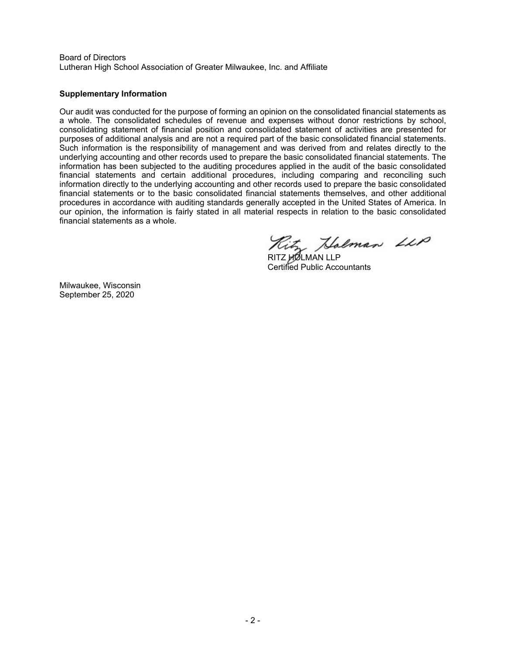Board of Directors Lutheran High School Association of Greater Milwaukee, Inc. and Affiliate

### **Supplementary Information**

Our audit was conducted for the purpose of forming an opinion on the consolidated financial statements as a whole. The consolidated schedules of revenue and expenses without donor restrictions by school, consolidating statement of financial position and consolidated statement of activities are presented for purposes of additional analysis and are not a required part of the basic consolidated financial statements. Such information is the responsibility of management and was derived from and relates directly to the underlying accounting and other records used to prepare the basic consolidated financial statements. The information has been subjected to the auditing procedures applied in the audit of the basic consolidated financial statements and certain additional procedures, including comparing and reconciling such information directly to the underlying accounting and other records used to prepare the basic consolidated financial statements or to the basic consolidated financial statements themselves, and other additional procedures in accordance with auditing standards generally accepted in the United States of America. In our opinion, the information is fairly stated in all material respects in relation to the basic consolidated financial statements as a whole.

Kitz Halman LLP

Certified Public Accountants

Milwaukee, Wisconsin September 25, 2020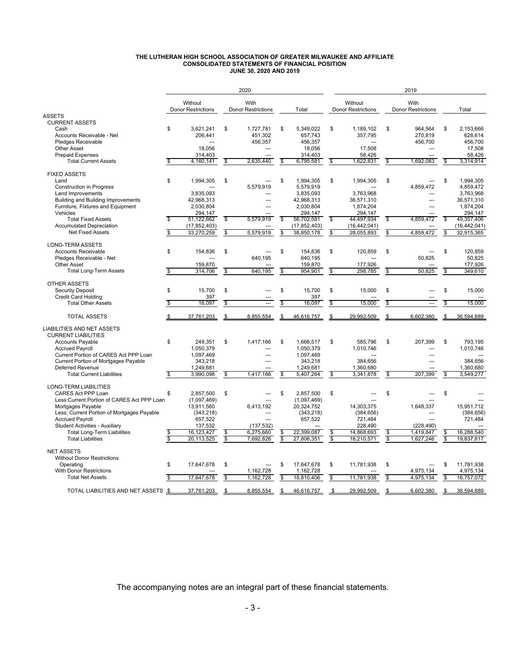#### **THE LUTHERAN HIGH SCHOOL ASSOCIATION OF GREATER MILWAUKEE AND AFFILIATE CONSOLIDATED STATEMENTS OF FINANCIAL POSITION JUNE 30, 2020 AND 2019**

|                                                |                                      |    | 2020                              |                         |                    |    |                                      |               | 2019                              |          |                         |
|------------------------------------------------|--------------------------------------|----|-----------------------------------|-------------------------|--------------------|----|--------------------------------------|---------------|-----------------------------------|----------|-------------------------|
|                                                | Without<br><b>Donor Restrictions</b> |    | With<br><b>Donor Restrictions</b> |                         | Total              |    | Without<br><b>Donor Restrictions</b> |               | With<br><b>Donor Restrictions</b> |          | Total                   |
| <b>ASSETS</b>                                  |                                      |    |                                   |                         |                    |    |                                      |               |                                   |          |                         |
| <b>CURRENT ASSETS</b>                          |                                      |    |                                   |                         |                    |    |                                      |               |                                   |          |                         |
| Cash                                           | \$<br>3,621,241                      | \$ | 1,727,781                         | \$                      | 5,349,022          | \$ | 1,189,102                            | \$            | 964,564                           | \$       | 2,153,666               |
| Accounts Receivable - Net                      | 206,441                              |    | 451,302                           |                         | 657,743            |    | 357,795                              |               | 270.819                           |          | 628.614                 |
| Pledges Receivable                             |                                      |    | 456,357                           |                         | 456,357            |    | ---                                  |               | 456,700                           |          | 456.700                 |
| <b>Other Asset</b>                             | 18,056                               |    | ---                               |                         | 18,056             |    | 17,508                               |               | $\overline{a}$                    |          | 17,508                  |
| <b>Prepaid Expenses</b>                        | 314,403                              |    | ---                               |                         | 314,403            |    | 58,426                               |               | $\overline{a}$                    |          | 58,426                  |
| <b>Total Current Assets</b>                    | \$<br>4,160,141                      | S  | 2,635,440                         | $\overline{\mathbb{S}}$ | 6,795,581          | S  | 1,622,831                            | \$            | 1,692,083                         | <b>S</b> | 3,314,914               |
|                                                |                                      |    |                                   |                         |                    |    |                                      |               |                                   |          |                         |
| <b>FIXED ASSETS</b>                            |                                      |    |                                   |                         |                    |    |                                      |               |                                   |          |                         |
| Land                                           | \$<br>1,994,305                      | \$ |                                   | \$                      | 1,994,305          | \$ | 1,994,305                            | \$            | $-$                               | \$       | 1,994,305               |
| <b>Construction in Progress</b>                |                                      |    | 5,579,919                         |                         | 5.579.919          |    |                                      |               | 4.859.472                         |          | 4.859.472               |
| Land Improvements                              | 3,835,093                            |    |                                   |                         | 3,835,093          |    | 3,763,968                            |               |                                   |          | 3,763,968               |
| Building and Building Improvements             | 42,968,313                           |    | ---                               |                         | 42,968,313         |    | 36,571,310                           |               | $---$                             |          | 36,571,310              |
| Furniture, Fixtures and Equipment              | 2.030.804                            |    | $\overline{a}$                    |                         | 2,030,804          |    | 1,874,204                            |               | $\overline{a}$                    |          | 1,874,204               |
| Vehicles                                       | 294,147                              |    |                                   |                         | 294,147            |    | 294.147                              |               |                                   |          | 294.147                 |
| <b>Total Fixed Assets</b>                      | \$<br>51, 122, 662                   | \$ | 5,579,919                         | \$                      | 56,702,581         | \$ | 44.497.934                           | $\mathsf{\$}$ | 4,859,472                         | \$       | 49.357.406              |
| <b>Accumulated Depreciation</b>                | (17, 852, 403)                       |    |                                   |                         | (17, 852, 403)     |    | (16, 442, 041)                       |               |                                   |          | (16, 442, 041)          |
| <b>Net Fixed Assets</b>                        | \$<br>33,270,259                     | \$ | 5,579,919                         | \$                      | 38,850,178         | \$ | 28,055,893                           | \$            | 4,859,472                         | \$       | 32,915,365              |
|                                                |                                      |    |                                   |                         |                    |    |                                      |               |                                   |          |                         |
| <b>LONG-TERM ASSETS</b>                        |                                      | \$ |                                   |                         |                    |    |                                      |               |                                   |          |                         |
| <b>Accounts Receivable</b>                     | \$<br>154,836                        |    | 640.195                           | \$                      | 154,836<br>640.195 | \$ | 120,859                              | \$            | 50.825                            | \$       | 120,859<br>50.825       |
| Pledges Receivable - Net<br><b>Other Asset</b> | 159,870                              |    |                                   |                         | 159,870            |    | 177.926                              |               |                                   |          | 177,926                 |
|                                                | \$<br>314.706                        |    | 640.195                           | \$                      | 954.901            |    | 298.785                              |               | 50.825                            | \$       | 349.610                 |
| <b>Total Long-Term Assets</b>                  |                                      | \$ |                                   |                         |                    | \$ |                                      | \$            |                                   |          |                         |
| <b>OTHER ASSETS</b>                            |                                      |    |                                   |                         |                    |    |                                      |               |                                   |          |                         |
| <b>Security Deposit</b>                        | \$<br>15,700                         | \$ |                                   | \$                      | 15,700             | \$ | 15,000                               | \$            |                                   | \$       | 15,000                  |
| <b>Credit Card Holding</b>                     | 397                                  |    |                                   |                         | 397                |    |                                      |               |                                   |          |                         |
| <b>Total Other Assets</b>                      | \$<br>16,097                         | \$ | ---                               | \$                      | 16,097             | \$ | 15,000                               | \$            |                                   | \$       | 15,000                  |
|                                                |                                      |    |                                   |                         |                    |    |                                      |               |                                   |          |                         |
| <b>TOTAL ASSETS</b>                            | \$<br>37,761,203                     |    | 8,855,554                         | \$                      | 46,616,757         | \$ | 29,992,509                           | \$            | 6,602,380                         | \$       | 36,594,889              |
| <b>LIABILITIES AND NET ASSETS</b>              |                                      |    |                                   |                         |                    |    |                                      |               |                                   |          |                         |
| <b>CURRENT LIABILITIES</b>                     |                                      |    |                                   |                         |                    |    |                                      |               |                                   |          |                         |
| <b>Accounts Payable</b>                        | \$<br>249,351                        | \$ | 1,417,166                         | \$                      | 1,666,517          | \$ | 585,796                              | \$            | 207.399                           | \$       | 793,195                 |
| <b>Accrued Payroll</b>                         | 1.050.379                            |    | ---                               |                         | 1.050.379          |    | 1,010,746                            |               | $\overline{a}$                    |          | 1,010,746               |
| Current Portion of CARES Act PPP Loan          | 1,097,469                            |    | ---                               |                         | 1,097,469          |    |                                      |               | ---                               |          |                         |
| <b>Current Portion of Mortgages Payable</b>    | 343,218                              |    | $\sim$                            |                         | 343,218            |    | 384,656                              |               | $\overline{a}$                    |          | 384,656                 |
| Deferred Revenue                               | 1,249,681                            |    |                                   |                         | 1,249,681          |    | 1,360,680                            |               |                                   |          | 1,360,680               |
| <b>Total Current Liabilities</b>               | \$<br>3,990,098                      | \$ | 1,417,166                         | \$                      | 5,407,264          | \$ | 3,341,878                            | \$            | 207,399                           | \$       | 3,549,277               |
|                                                |                                      |    |                                   |                         |                    |    |                                      |               |                                   |          |                         |
| <b>LONG-TERM LIABILITIES</b>                   |                                      |    |                                   |                         |                    |    |                                      |               |                                   |          |                         |
| <b>CARES Act PPP Loan</b>                      | \$<br>2,857,500                      | \$ |                                   | \$                      | 2,857,500          | \$ |                                      | \$            |                                   | \$       |                         |
| Less: Current Portion of CARES Act PPP Loan    | (1,097,469)                          |    |                                   |                         | (1,097,469)        |    |                                      |               |                                   |          |                         |
| Mortgages Payable                              | 13,911,560                           |    | 6,413,192                         |                         | 20,324,752         |    | 14,303,375                           |               | 1,648,337                         |          | 15.951.712              |
| Less: Current Portion of Mortgages Payable     | (343, 218)                           |    | ---                               |                         | (343, 218)         |    | (384, 656)                           |               | $\overline{a}$                    |          | (384, 656)              |
| <b>Accrued Payroll</b>                         | 657,522                              |    |                                   |                         | 657,522            |    | 721,484                              |               |                                   |          | 721,484                 |
| <b>Student Activities - Auxiliary</b>          | 137,532                              |    | (137, 532)                        |                         |                    |    | 228,490                              |               | (228, 490)                        |          |                         |
| <b>Total Long-Term Liabilities</b>             | \$<br>16,123,427                     | S  | 6,275,660                         | \$                      | 22,399,087         | \$ | 14,868,693                           | \$            | 1,419,847                         | \$       | 16,288,540              |
| <b>Total Liabilities</b>                       | \$<br>20,113,525                     | \$ | 7,692,826                         | \$                      | 27,806,351         | \$ | 18,210,571                           | $\mathsf{\$}$ | 1,627,246                         | \$       | 19,837,817              |
|                                                |                                      |    |                                   |                         |                    |    |                                      |               |                                   |          |                         |
| <b>NET ASSETS</b>                              |                                      |    |                                   |                         |                    |    |                                      |               |                                   |          |                         |
| <b>Without Donor Restrictions</b>              | \$                                   | \$ |                                   | \$                      |                    |    | 11.781.938                           |               |                                   | \$       | 11.781.938              |
| Operating<br><b>With Donor Restrictions</b>    | 17,647,678                           |    |                                   |                         | 17,647,678         | \$ |                                      | \$            | 4.975.134                         |          |                         |
| <b>Total Net Assets</b>                        | \$<br>17.647.678                     | S  | 1,162,728                         | \$                      | 1,162,728          | \$ | 11.781.938                           | \$            | 4,975,134                         | \$       | 4,975,134<br>16,757,072 |
|                                                |                                      |    | 1,162,728                         |                         | 18,810,406         |    |                                      |               |                                   |          |                         |
| TOTAL LIABILITIES AND NET ASSETS \$            | 37,761,203                           | \$ | 8,855,554                         |                         | 46,616,757         | \$ | 29,992,509                           | \$            | 6,602,380                         |          | 36,594,889              |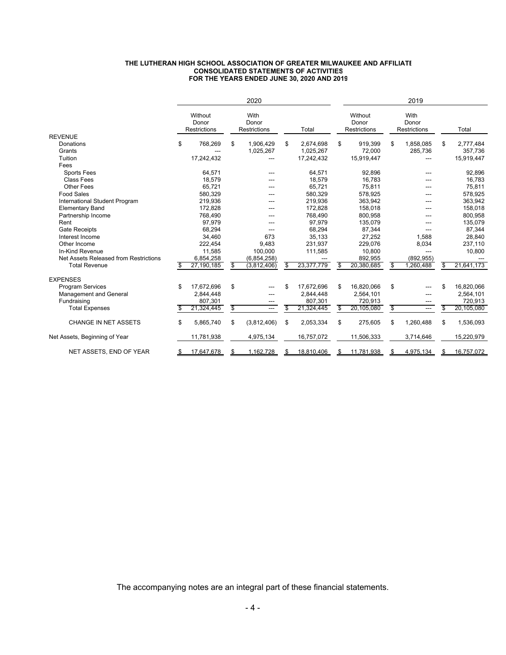#### **THE LUTHERAN HIGH SCHOOL ASSOCIATION OF GREATER MILWAUKEE AND AFFILIATE CONSOLIDATED STATEMENTS OF ACTIVITIES FOR THE YEARS ENDED JUNE 30, 2020 AND 2019**

|                                       | 2020 |                                         |    |                               |    |            |    |                                         | 2019 |                                      |                  |
|---------------------------------------|------|-----------------------------------------|----|-------------------------------|----|------------|----|-----------------------------------------|------|--------------------------------------|------------------|
|                                       |      | Without<br>Donor<br><b>Restrictions</b> |    | With<br>Donor<br>Restrictions |    | Total      |    | Without<br>Donor<br><b>Restrictions</b> |      | With<br>Donor<br><b>Restrictions</b> | Total            |
| <b>REVENUE</b>                        |      |                                         |    |                               |    |            |    |                                         |      |                                      |                  |
| Donations                             | \$   | 768,269                                 | \$ | 1,906,429                     | \$ | 2,674,698  | \$ | 919,399                                 | \$   | 1,858,085                            | \$<br>2,777,484  |
| Grants                                |      |                                         |    | 1,025,267                     |    | 1,025,267  |    | 72,000                                  |      | 285,736                              | 357,736          |
| Tuition                               |      | 17,242,432                              |    |                               |    | 17,242,432 |    | 15,919,447                              |      | ---                                  | 15,919,447       |
| Fees                                  |      |                                         |    |                               |    |            |    |                                         |      |                                      |                  |
| <b>Sports Fees</b>                    |      | 64,571                                  |    |                               |    | 64,571     |    | 92,896                                  |      |                                      | 92,896           |
| Class Fees                            |      | 18.579                                  |    |                               |    | 18,579     |    | 16.783                                  |      |                                      | 16,783           |
| <b>Other Fees</b>                     |      | 65,721                                  |    | ---                           |    | 65,721     |    | 75,811                                  |      |                                      | 75,811           |
| <b>Food Sales</b>                     |      | 580,329                                 |    |                               |    | 580,329    |    | 578,925                                 |      |                                      | 578,925          |
| International Student Program         |      | 219,936                                 |    |                               |    | 219,936    |    | 363,942                                 |      |                                      | 363,942          |
| <b>Elementary Band</b>                |      | 172,828                                 |    | ---                           |    | 172,828    |    | 158,018                                 |      |                                      | 158,018          |
| Partnership Income                    |      | 768.490                                 |    | ---                           |    | 768.490    |    | 800.958                                 |      |                                      | 800,958          |
| Rent                                  |      | 97,979                                  |    | ---                           |    | 97,979     |    | 135,079                                 |      |                                      | 135,079          |
| <b>Gate Receipts</b>                  |      | 68,294                                  |    |                               |    | 68,294     |    | 87,344                                  |      |                                      | 87,344           |
| Interest Income                       |      | 34,460                                  |    | 673                           |    | 35,133     |    | 27,252                                  |      | 1.588                                | 28,840           |
| Other Income                          |      | 222.454                                 |    | 9,483                         |    | 231.937    |    | 229,076                                 |      | 8,034                                | 237,110          |
| In-Kind Revenue                       |      | 11,585                                  |    | 100,000                       |    | 111,585    |    | 10,800                                  |      | ---                                  | 10,800           |
| Net Assets Released from Restrictions |      | 6,854,258                               |    | (6,854,258)                   |    |            |    | 892,955                                 |      | (892, 955)                           |                  |
| <b>Total Revenue</b>                  | \$   | 27,190,185                              | \$ | (3,812,406)                   | \$ | 23,377,779 | \$ | 20,380,685                              | \$   | 1.260.488                            | \$<br>21,641,173 |
| <b>EXPENSES</b>                       |      |                                         |    |                               |    |            |    |                                         |      |                                      |                  |
| <b>Program Services</b>               | \$   | 17,672,696                              | \$ |                               | \$ | 17,672,696 | \$ | 16.820.066                              | \$   |                                      | \$<br>16,820,066 |
| <b>Management and General</b>         |      | 2,844,448                               |    | ---                           |    | 2,844,448  |    | 2,564,101                               |      |                                      | 2,564,101        |
| Fundraising                           |      | 807,301                                 |    |                               |    | 807,301    |    | 720,913                                 |      |                                      | 720,913          |
| <b>Total Expenses</b>                 | \$   | 21,324,445                              | \$ | ---                           |    | 21,324,445 | \$ | 20,105,080                              | \$   | ---                                  | \$<br>20,105,080 |
| <b>CHANGE IN NET ASSETS</b>           | \$   | 5,865,740                               | \$ | (3,812,406)                   | \$ | 2,053,334  | \$ | 275,605                                 | \$   | 1,260,488                            | \$<br>1,536,093  |
| Net Assets, Beginning of Year         |      | 11,781,938                              |    | 4,975,134                     |    | 16,757,072 |    | 11,506,333                              |      | 3,714,646                            | 15,220,979       |
| NET ASSETS, END OF YEAR               | \$   | 17,647,678                              | S  | 1,162,728                     |    | 18,810,406 | S  | 11,781,938                              | S    | 4,975,134                            | \$<br>16,757,072 |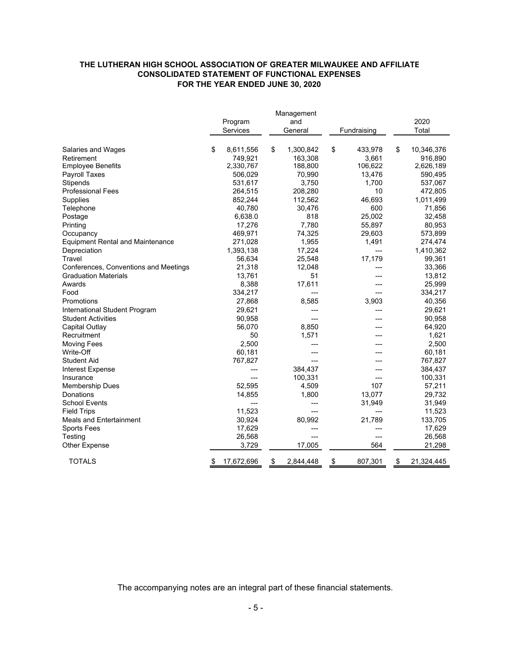### **THE LUTHERAN HIGH SCHOOL ASSOCIATION OF GREATER MILWAUKEE AND AFFILIATE CONSOLIDATED STATEMENT OF FUNCTIONAL EXPENSES FOR THE YEAR ENDED JUNE 30, 2020**

|                                         |                  | Management      |               |                  |
|-----------------------------------------|------------------|-----------------|---------------|------------------|
|                                         | Program          | and             |               | 2020             |
|                                         | Services         | General         | Fundraising   | Total            |
| Salaries and Wages                      | \$<br>8,611,556  | \$<br>1,300,842 | \$<br>433,978 | \$<br>10,346,376 |
| Retirement                              | 749,921          | 163,308         | 3,661         | 916,890          |
| <b>Employee Benefits</b>                | 2,330,767        | 188,800         | 106,622       | 2,626,189        |
| <b>Payroll Taxes</b>                    | 506,029          | 70,990          | 13,476        | 590,495          |
| <b>Stipends</b>                         | 531,617          | 3,750           | 1,700         | 537,067          |
| <b>Professional Fees</b>                | 264,515          | 208,280         | 10            | 472,805          |
| <b>Supplies</b>                         | 852,244          | 112,562         | 46,693        | 1,011,499        |
| Telephone                               | 40,780           | 30,476          | 600           | 71,856           |
| Postage                                 | 6,638.0          | 818             | 25,002        | 32,458           |
| Printing                                | 17,276           | 7,780           | 55,897        | 80,953           |
| Occupancy                               | 469,971          | 74,325          | 29,603        | 573,899          |
| <b>Equipment Rental and Maintenance</b> | 271,028          | 1,955           | 1,491         | 274,474          |
| Depreciation                            | 1,393,138        | 17,224          | ---           | 1,410,362        |
| Travel                                  | 56,634           | 25,548          | 17,179        | 99,361           |
| Conferences, Conventions and Meetings   | 21,318           | 12,048          |               | 33,366           |
| <b>Graduation Materials</b>             | 13,761           | 51              |               | 13,812           |
| Awards                                  | 8,388            | 17,611          |               | 25,999           |
| Food                                    | 334,217          | ---             | ---           | 334,217          |
| Promotions                              | 27,868           | 8,585           | 3,903         | 40,356           |
| International Student Program           | 29,621           |                 |               | 29,621           |
| Student Activities                      | 90,958           | ---             |               | 90,958           |
| Capital Outlay                          | 56,070           | 8,850           |               | 64,920           |
| Recruitment                             | 50               | 1,571           |               | 1,621            |
| <b>Moving Fees</b>                      | 2,500            |                 |               | 2,500            |
| Write-Off                               | 60,181           |                 |               | 60,181           |
| <b>Student Aid</b>                      | 767,827          |                 |               | 767,827          |
| Interest Expense                        |                  | 384,437         |               | 384,437          |
| Insurance                               | ---              | 100,331         |               | 100,331          |
| <b>Membership Dues</b>                  | 52,595           | 4,509           | 107           | 57,211           |
| Donations                               | 14,855           | 1,800           | 13,077        | 29,732           |
| School Events                           |                  |                 | 31,949        | 31,949           |
| <b>Field Trips</b>                      | 11,523           | ---             |               | 11,523           |
| <b>Meals and Entertainment</b>          | 30,924           | 80,992          | 21,789        | 133,705          |
| <b>Sports Fees</b>                      | 17,629           |                 |               | 17,629           |
| Testing                                 | 26,568           | ---             | ---           | 26,568           |
| <b>Other Expense</b>                    | 3,729            | 17,005          | 564           | 21,298           |
| <b>TOTALS</b>                           | \$<br>17,672,696 | \$<br>2,844,448 | \$<br>807,301 | \$<br>21,324,445 |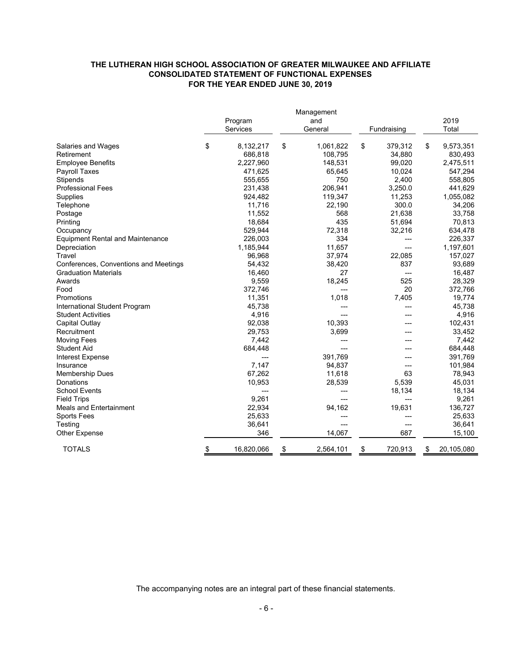### **CONSOLIDATED STATEMENT OF FUNCTIONAL EXPENSES THE LUTHERAN HIGH SCHOOL ASSOCIATION OF GREATER MILWAUKEE AND AFFILIATE FOR THE YEAR ENDED JUNE 30, 2019**

|                                         |                  | Management      |               |                  |
|-----------------------------------------|------------------|-----------------|---------------|------------------|
|                                         | Program          | and             |               | 2019             |
|                                         | Services         | General         | Fundraising   | Total            |
| Salaries and Wages                      | \$<br>8,132,217  | \$<br>1,061,822 | \$<br>379,312 | \$<br>9,573,351  |
| Retirement                              | 686,818          | 108,795         | 34,880        | 830,493          |
| <b>Employee Benefits</b>                | 2,227,960        | 148,531         | 99,020        | 2,475,511        |
| <b>Payroll Taxes</b>                    | 471,625          | 65,645          | 10,024        | 547,294          |
| Stipends                                | 555,655          | 750             | 2,400         | 558,805          |
| <b>Professional Fees</b>                | 231,438          | 206,941         | 3,250.0       | 441,629          |
| Supplies                                | 924,482          | 119,347         | 11,253        | 1,055,082        |
| Telephone                               | 11,716           | 22,190          | 300.0         | 34,206           |
| Postage                                 | 11,552           | 568             | 21,638        | 33,758           |
| Printing                                | 18,684           | 435             | 51,694        | 70,813           |
| Occupancy                               | 529,944          | 72,318          | 32,216        | 634,478          |
| <b>Equipment Rental and Maintenance</b> | 226,003          | 334             | ---           | 226,337          |
| Depreciation                            | 1,185,944        | 11,657          | ---           | 1,197,601        |
| Travel                                  | 96.968           | 37,974          | 22.085        | 157,027          |
| Conferences, Conventions and Meetings   | 54,432           | 38,420          | 837           | 93,689           |
| <b>Graduation Materials</b>             | 16,460           | 27              | ---           | 16,487           |
| Awards                                  | 9,559            | 18,245          | 525           | 28,329           |
| Food                                    | 372,746          | ---             | 20            | 372,766          |
| Promotions                              | 11,351           | 1,018           | 7,405         | 19,774           |
| International Student Program           | 45,738           | ---             | ---           | 45,738           |
| <b>Student Activities</b>               | 4,916            |                 |               | 4,916            |
| Capital Outlay                          | 92,038           | 10,393          |               | 102,431          |
| Recruitment                             | 29,753           | 3,699           |               | 33,452           |
| <b>Moving Fees</b>                      | 7,442            |                 |               | 7,442            |
| <b>Student Aid</b>                      | 684,448          |                 |               | 684,448          |
| <b>Interest Expense</b>                 |                  | 391,769         |               | 391,769          |
| Insurance                               | 7,147            | 94,837          |               | 101,984          |
| <b>Membership Dues</b>                  | 67,262           | 11,618          | 63            | 78,943           |
| Donations                               | 10,953           | 28,539          | 5,539         | 45,031           |
| <b>School Events</b>                    | ---              | ---             | 18,134        | 18,134           |
| <b>Field Trips</b>                      | 9,261            |                 | ---           | 9,261            |
| <b>Meals and Entertainment</b>          | 22,934           | 94,162          | 19,631        | 136,727          |
| <b>Sports Fees</b>                      | 25,633           | ---             | ---           | 25,633           |
| Testing                                 | 36,641           | ---             | ---           | 36,641           |
| <b>Other Expense</b>                    | 346              | 14,067          | 687           | 15,100           |
| <b>TOTALS</b>                           | \$<br>16,820,066 | \$<br>2,564,101 | \$<br>720,913 | \$<br>20,105,080 |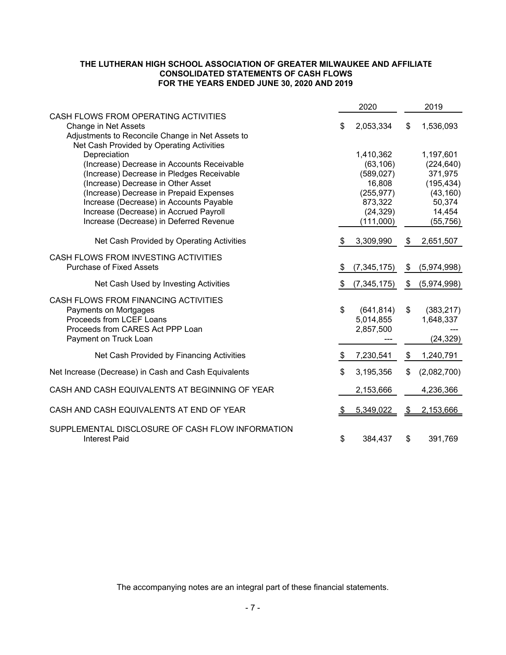### **THE LUTHERAN HIGH SCHOOL ASSOCIATION OF GREATER MILWAUKEE AND AFFILIATE CONSOLIDATED STATEMENTS OF CASH FLOWS FOR THE YEARS ENDED JUNE 30, 2020 AND 2019**

|                                                                                                                                                                                                                                                                                                                          |                | 2020                                                                                              |           | 2019                                                                                           |
|--------------------------------------------------------------------------------------------------------------------------------------------------------------------------------------------------------------------------------------------------------------------------------------------------------------------------|----------------|---------------------------------------------------------------------------------------------------|-----------|------------------------------------------------------------------------------------------------|
| CASH FLOWS FROM OPERATING ACTIVITIES<br>Change in Net Assets<br>Adjustments to Reconcile Change in Net Assets to<br>Net Cash Provided by Operating Activities                                                                                                                                                            | \$             | 2,053,334                                                                                         | \$        | 1,536,093                                                                                      |
| Depreciation<br>(Increase) Decrease in Accounts Receivable<br>(Increase) Decrease in Pledges Receivable<br>(Increase) Decrease in Other Asset<br>(Increase) Decrease in Prepaid Expenses<br>Increase (Decrease) in Accounts Payable<br>Increase (Decrease) in Accrued Payroll<br>Increase (Decrease) in Deferred Revenue |                | 1,410,362<br>(63, 106)<br>(589, 027)<br>16,808<br>(255, 977)<br>873,322<br>(24, 329)<br>(111,000) |           | 1,197,601<br>(224, 640)<br>371,975<br>(195, 434)<br>(43, 160)<br>50,374<br>14,454<br>(55, 756) |
| Net Cash Provided by Operating Activities                                                                                                                                                                                                                                                                                | \$             | 3,309,990                                                                                         | \$        | 2,651,507                                                                                      |
| CASH FLOWS FROM INVESTING ACTIVITIES<br><b>Purchase of Fixed Assets</b>                                                                                                                                                                                                                                                  | S.             | (7, 345, 175)                                                                                     | \$        | (5,974,998)                                                                                    |
| Net Cash Used by Investing Activities                                                                                                                                                                                                                                                                                    | \$             | (7, 345, 175)                                                                                     | \$        | (5,974,998)                                                                                    |
| CASH FLOWS FROM FINANCING ACTIVITIES<br>Payments on Mortgages<br>Proceeds from LCEF Loans<br>Proceeds from CARES Act PPP Loan<br>Payment on Truck Loan                                                                                                                                                                   | $\mathfrak{S}$ | (641, 814)<br>5,014,855<br>2,857,500                                                              | \$        | (383, 217)<br>1,648,337<br>(24, 329)                                                           |
| Net Cash Provided by Financing Activities                                                                                                                                                                                                                                                                                | \$             | 7,230,541                                                                                         | \$        | 1,240,791                                                                                      |
| Net Increase (Decrease) in Cash and Cash Equivalents                                                                                                                                                                                                                                                                     | \$             | 3,195,356                                                                                         | \$        | (2,082,700)                                                                                    |
| CASH AND CASH EQUIVALENTS AT BEGINNING OF YEAR                                                                                                                                                                                                                                                                           |                | 2,153,666                                                                                         |           | 4,236,366                                                                                      |
| CASH AND CASH EQUIVALENTS AT END OF YEAR                                                                                                                                                                                                                                                                                 | <u>\$</u>      | 5,349,022                                                                                         | <u>\$</u> | 2,153,666                                                                                      |
| SUPPLEMENTAL DISCLOSURE OF CASH FLOW INFORMATION<br><b>Interest Paid</b>                                                                                                                                                                                                                                                 | \$             | 384,437                                                                                           | \$        | 391,769                                                                                        |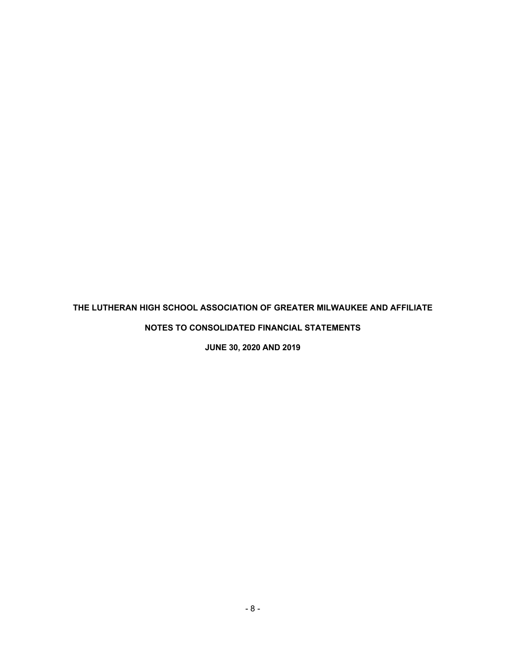# **THE LUTHERAN HIGH SCHOOL ASSOCIATION OF GREATER MILWAUKEE AND AFFILIATE**

**NOTES TO CONSOLIDATED FINANCIAL STATEMENTS** 

**JUNE 30, 2020 AND 2019**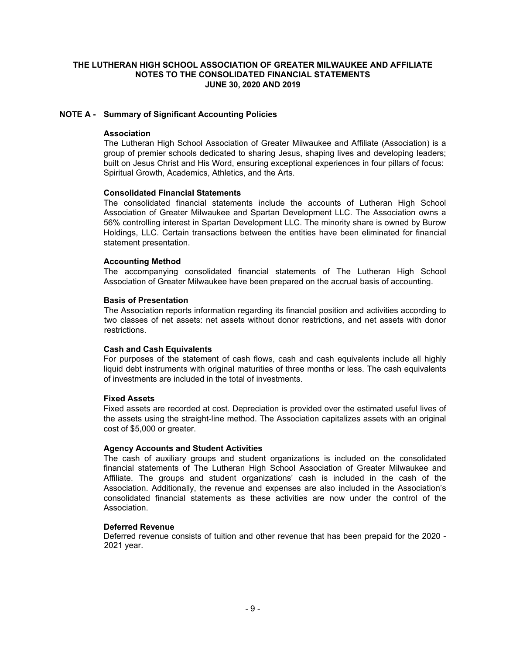# **NOTE A - Summary of Significant Accounting Policies**

#### **Association**

 The Lutheran High School Association of Greater Milwaukee and Affiliate (Association) is a group of premier schools dedicated to sharing Jesus, shaping lives and developing leaders; built on Jesus Christ and His Word, ensuring exceptional experiences in four pillars of focus: Spiritual Growth, Academics, Athletics, and the Arts.

#### **Consolidated Financial Statements**

 The consolidated financial statements include the accounts of Lutheran High School Association of Greater Milwaukee and Spartan Development LLC. The Association owns a 56% controlling interest in Spartan Development LLC. The minority share is owned by Burow Holdings, LLC. Certain transactions between the entities have been eliminated for financial statement presentation.

#### **Accounting Method**

 The accompanying consolidated financial statements of The Lutheran High School Association of Greater Milwaukee have been prepared on the accrual basis of accounting.

#### **Basis of Presentation**

The Association reports information regarding its financial position and activities according to two classes of net assets: net assets without donor restrictions, and net assets with donor restrictions.

#### **Cash and Cash Equivalents**

 For purposes of the statement of cash flows, cash and cash equivalents include all highly liquid debt instruments with original maturities of three months or less. The cash equivalents of investments are included in the total of investments.

#### **Fixed Assets**

Fixed assets are recorded at cost. Depreciation is provided over the estimated useful lives of the assets using the straight-line method. The Association capitalizes assets with an original cost of \$5,000 or greater.

#### **Agency Accounts and Student Activities**

 The cash of auxiliary groups and student organizations is included on the consolidated financial statements of The Lutheran High School Association of Greater Milwaukee and Affiliate. The groups and student organizations' cash is included in the cash of the Association. Additionally, the revenue and expenses are also included in the Association's consolidated financial statements as these activities are now under the control of the Association.

#### **Deferred Revenue**

Deferred revenue consists of tuition and other revenue that has been prepaid for the 2020 - 2021 year.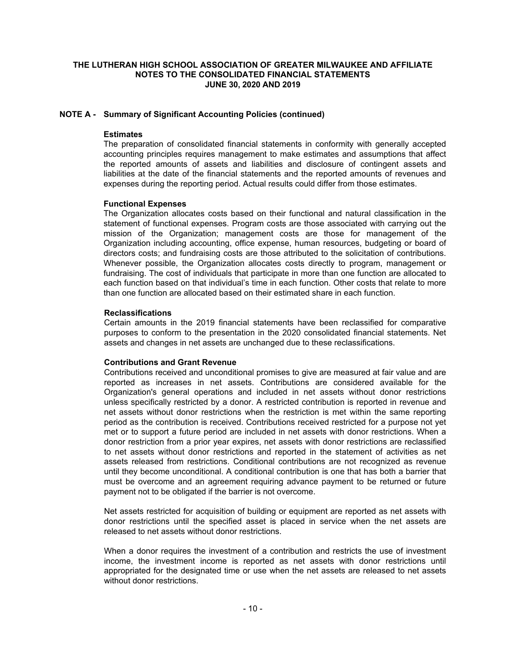# **NOTE A - Summary of Significant Accounting Policies (continued)**

### **Estimates**

 The preparation of consolidated financial statements in conformity with generally accepted accounting principles requires management to make estimates and assumptions that affect the reported amounts of assets and liabilities and disclosure of contingent assets and liabilities at the date of the financial statements and the reported amounts of revenues and expenses during the reporting period. Actual results could differ from those estimates.

### **Functional Expenses**

 The Organization allocates costs based on their functional and natural classification in the statement of functional expenses. Program costs are those associated with carrying out the mission of the Organization; management costs are those for management of the Organization including accounting, office expense, human resources, budgeting or board of directors costs; and fundraising costs are those attributed to the solicitation of contributions. Whenever possible, the Organization allocates costs directly to program, management or fundraising. The cost of individuals that participate in more than one function are allocated to each function based on that individual's time in each function. Other costs that relate to more than one function are allocated based on their estimated share in each function.

### **Reclassifications**

Certain amounts in the 2019 financial statements have been reclassified for comparative purposes to conform to the presentation in the 2020 consolidated financial statements. Net assets and changes in net assets are unchanged due to these reclassifications.

# **Contributions and Grant Revenue**

Contributions received and unconditional promises to give are measured at fair value and are reported as increases in net assets. Contributions are considered available for the Organization's general operations and included in net assets without donor restrictions unless specifically restricted by a donor. A restricted contribution is reported in revenue and net assets without donor restrictions when the restriction is met within the same reporting period as the contribution is received. Contributions received restricted for a purpose not yet met or to support a future period are included in net assets with donor restrictions. When a donor restriction from a prior year expires, net assets with donor restrictions are reclassified to net assets without donor restrictions and reported in the statement of activities as net assets released from restrictions. Conditional contributions are not recognized as revenue until they become unconditional. A conditional contribution is one that has both a barrier that must be overcome and an agreement requiring advance payment to be returned or future payment not to be obligated if the barrier is not overcome.

Net assets restricted for acquisition of building or equipment are reported as net assets with donor restrictions until the specified asset is placed in service when the net assets are released to net assets without donor restrictions.

When a donor requires the investment of a contribution and restricts the use of investment income, the investment income is reported as net assets with donor restrictions until appropriated for the designated time or use when the net assets are released to net assets without donor restrictions.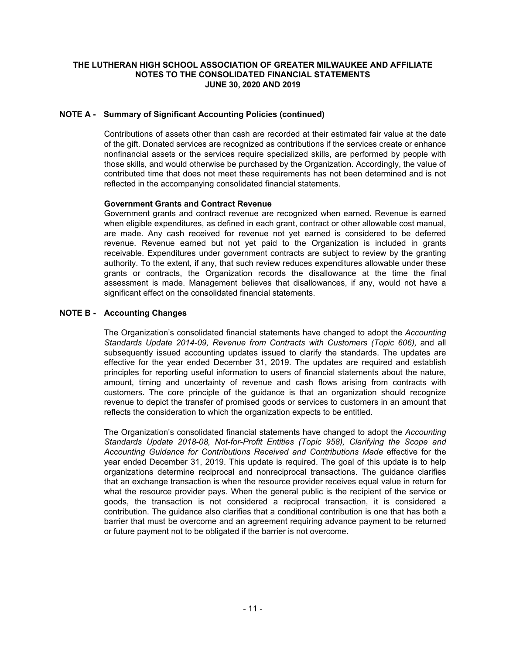# **NOTE A - Summary of Significant Accounting Policies (continued)**

Contributions of assets other than cash are recorded at their estimated fair value at the date of the gift. Donated services are recognized as contributions if the services create or enhance nonfinancial assets or the services require specialized skills, are performed by people with those skills, and would otherwise be purchased by the Organization. Accordingly, the value of contributed time that does not meet these requirements has not been determined and is not reflected in the accompanying consolidated financial statements.

### **Government Grants and Contract Revenue**

Government grants and contract revenue are recognized when earned. Revenue is earned when eligible expenditures, as defined in each grant, contract or other allowable cost manual, are made. Any cash received for revenue not yet earned is considered to be deferred revenue. Revenue earned but not yet paid to the Organization is included in grants receivable. Expenditures under government contracts are subject to review by the granting authority. To the extent, if any, that such review reduces expenditures allowable under these grants or contracts, the Organization records the disallowance at the time the final assessment is made. Management believes that disallowances, if any, would not have a significant effect on the consolidated financial statements.

### **NOTE B - Accounting Changes**

The Organization's consolidated financial statements have changed to adopt the *Accounting Standards Update 2014-09, Revenue from Contracts with Customers (Topic 606),* and all subsequently issued accounting updates issued to clarify the standards. The updates are effective for the year ended December 31, 2019. The updates are required and establish principles for reporting useful information to users of financial statements about the nature, amount, timing and uncertainty of revenue and cash flows arising from contracts with customers. The core principle of the guidance is that an organization should recognize revenue to depict the transfer of promised goods or services to customers in an amount that reflects the consideration to which the organization expects to be entitled.

The Organization's consolidated financial statements have changed to adopt the *Accounting Standards Update 2018-08, Not-for-Profit Entities (Topic 958), Clarifying the Scope and Accounting Guidance for Contributions Received and Contributions Made* effective for the year ended December 31, 2019. This update is required. The goal of this update is to help organizations determine reciprocal and nonreciprocal transactions. The guidance clarifies that an exchange transaction is when the resource provider receives equal value in return for what the resource provider pays. When the general public is the recipient of the service or goods, the transaction is not considered a reciprocal transaction, it is considered a contribution. The guidance also clarifies that a conditional contribution is one that has both a barrier that must be overcome and an agreement requiring advance payment to be returned or future payment not to be obligated if the barrier is not overcome.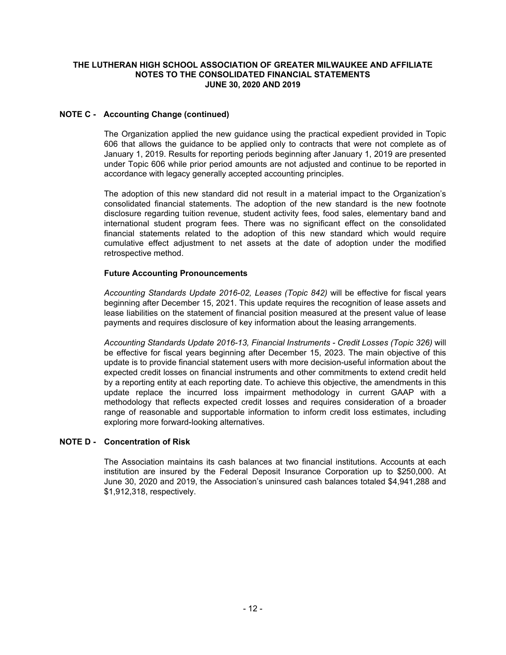# **NOTE C - Accounting Change (continued)**

The Organization applied the new guidance using the practical expedient provided in Topic 606 that allows the guidance to be applied only to contracts that were not complete as of January 1, 2019. Results for reporting periods beginning after January 1, 2019 are presented under Topic 606 while prior period amounts are not adjusted and continue to be reported in accordance with legacy generally accepted accounting principles.

The adoption of this new standard did not result in a material impact to the Organization's consolidated financial statements. The adoption of the new standard is the new footnote disclosure regarding tuition revenue, student activity fees, food sales, elementary band and international student program fees. There was no significant effect on the consolidated financial statements related to the adoption of this new standard which would require cumulative effect adjustment to net assets at the date of adoption under the modified retrospective method.

# **Future Accounting Pronouncements**

*Accounting Standards Update 2016-02, Leases (Topic 842)* will be effective for fiscal years beginning after December 15, 2021. This update requires the recognition of lease assets and lease liabilities on the statement of financial position measured at the present value of lease payments and requires disclosure of key information about the leasing arrangements.

*Accounting Standards Update 2016-13, Financial Instruments - Credit Losses (Topic 326)* will be effective for fiscal years beginning after December 15, 2023. The main objective of this update is to provide financial statement users with more decision-useful information about the expected credit losses on financial instruments and other commitments to extend credit held by a reporting entity at each reporting date. To achieve this objective, the amendments in this update replace the incurred loss impairment methodology in current GAAP with a methodology that reflects expected credit losses and requires consideration of a broader range of reasonable and supportable information to inform credit loss estimates, including exploring more forward-looking alternatives.

# **NOTE D - Concentration of Risk**

The Association maintains its cash balances at two financial institutions. Accounts at each institution are insured by the Federal Deposit Insurance Corporation up to \$250,000. At June 30, 2020 and 2019, the Association's uninsured cash balances totaled \$4,941,288 and \$1,912,318, respectively.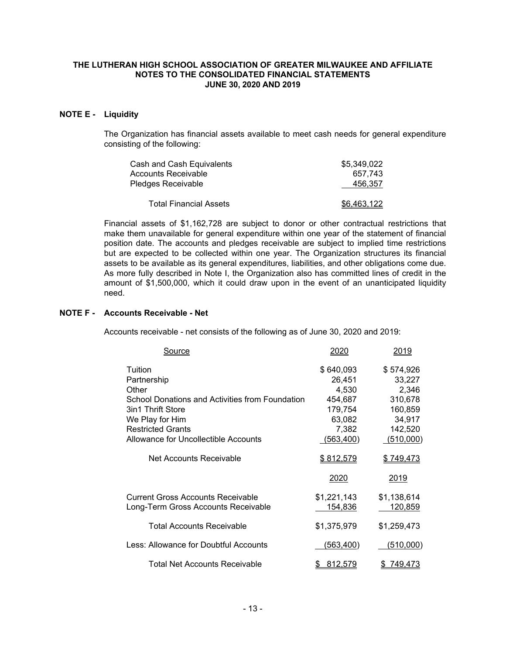# **NOTE E - Liquidity**

The Organization has financial assets available to meet cash needs for general expenditure consisting of the following:

| Cash and Cash Equivalents | \$5.349.022 |
|---------------------------|-------------|
| Accounts Receivable       | 657.743     |
| Pledges Receivable        | 456.357     |
| Total Financial Assets    | \$6.463.122 |

Financial assets of \$1,162,728 are subject to donor or other contractual restrictions that make them unavailable for general expenditure within one year of the statement of financial position date. The accounts and pledges receivable are subject to implied time restrictions but are expected to be collected within one year. The Organization structures its financial assets to be available as its general expenditures, liabilities, and other obligations come due. As more fully described in Note I, the Organization also has committed lines of credit in the amount of \$1,500,000, which it could draw upon in the event of an unanticipated liquidity need.

#### **NOTE F - Accounts Receivable - Net**

Accounts receivable - net consists of the following as of June 30, 2020 and 2019:

| <b>Source</b>                                   | 2020           | 2019        |
|-------------------------------------------------|----------------|-------------|
| Tuition                                         | \$640,093      | \$574,926   |
| Partnership                                     | 26,451         | 33,227      |
| Other                                           | 4,530          | 2,346       |
| School Donations and Activities from Foundation | 454,687        | 310,678     |
| 3in1 Thrift Store                               | 179,754        | 160,859     |
| We Play for Him                                 | 63,082         | 34,917      |
| <b>Restricted Grants</b>                        | 7,382          | 142,520     |
| Allowance for Uncollectible Accounts            | (563, 400)     | (510,000)   |
| Net Accounts Receivable                         | \$812,579      | \$749,473   |
|                                                 | 2020           | 2019        |
| Current Gross Accounts Receivable               | \$1,221,143    | \$1,138,614 |
| Long-Term Gross Accounts Receivable             | 154,836        | 120,859     |
| <b>Total Accounts Receivable</b>                | \$1,375,979    | \$1,259,473 |
| Less: Allowance for Doubtful Accounts           | (563,400)      | (510,000)   |
| <b>Total Net Accounts Receivable</b>            | <u>812,579</u> | 749,473     |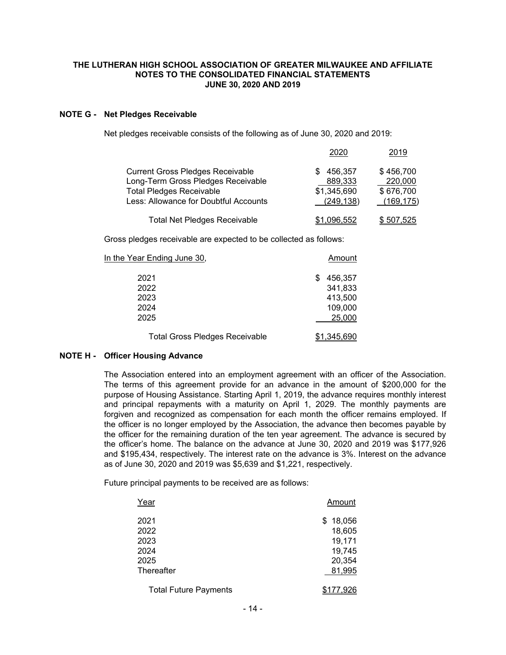### **NOTE G - Net Pledges Receivable**

Net pledges receivable consists of the following as of June 30, 2020 and 2019:

|                                         | 2020               | 2019       |
|-----------------------------------------|--------------------|------------|
| <b>Current Gross Pledges Receivable</b> | 456,357<br>S.      | \$456,700  |
| Long-Term Gross Pledges Receivable      | 889,333            | 220,000    |
| <b>Total Pledges Receivable</b>         | \$1,345,690        | \$676,700  |
| Less: Allowance for Doubtful Accounts   | (249, 138)         | (169, 175) |
| <b>Total Net Pledges Receivable</b>     | <u>\$1,096,552</u> | \$507,525  |

Gross pledges receivable are expected to be collected as follows:

| In the Year Ending June 30,                   | Amount                                        |
|-----------------------------------------------|-----------------------------------------------|
| 2021<br>2022<br>2023<br>2024                  | 456,357<br>S<br>341,833<br>413,500<br>109,000 |
| 2025<br><b>Total Gross Pledges Receivable</b> | 25,000<br><u>\$1,345,690</u>                  |

# **NOTE H - Officer Housing Advance**

The Association entered into an employment agreement with an officer of the Association. The terms of this agreement provide for an advance in the amount of \$200,000 for the purpose of Housing Assistance. Starting April 1, 2019, the advance requires monthly interest and principal repayments with a maturity on April 1, 2029. The monthly payments are forgiven and recognized as compensation for each month the officer remains employed. If the officer is no longer employed by the Association, the advance then becomes payable by the officer for the remaining duration of the ten year agreement. The advance is secured by the officer's home. The balance on the advance at June 30, 2020 and 2019 was \$177,926 and \$195,434, respectively. The interest rate on the advance is 3%. Interest on the advance as of June 30, 2020 and 2019 was \$5,639 and \$1,221, respectively.

Future principal payments to be received are as follows:

| Year                         | Amount    |
|------------------------------|-----------|
| 2021                         | \$18,056  |
| 2022                         | 18,605    |
| 2023                         | 19,171    |
| 2024                         | 19,745    |
| 2025                         | 20,354    |
| Thereafter                   | 81,995    |
| <b>Total Future Payments</b> | \$177,926 |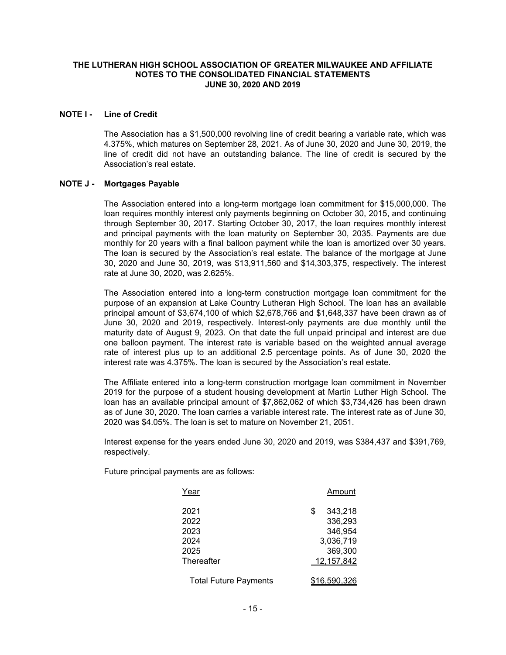#### **NOTE I - Line of Credit**

The Association has a \$1,500,000 revolving line of credit bearing a variable rate, which was 4.375%, which matures on September 28, 2021. As of June 30, 2020 and June 30, 2019, the line of credit did not have an outstanding balance. The line of credit is secured by the Association's real estate.

#### **NOTE J - Mortgages Payable**

The Association entered into a long-term mortgage loan commitment for \$15,000,000. The loan requires monthly interest only payments beginning on October 30, 2015, and continuing through September 30, 2017. Starting October 30, 2017, the loan requires monthly interest and principal payments with the loan maturity on September 30, 2035. Payments are due monthly for 20 years with a final balloon payment while the loan is amortized over 30 years. The loan is secured by the Association's real estate. The balance of the mortgage at June 30, 2020 and June 30, 2019, was \$13,911,560 and \$14,303,375, respectively. The interest rate at June 30, 2020, was 2.625%.

The Association entered into a long-term construction mortgage loan commitment for the purpose of an expansion at Lake Country Lutheran High School. The loan has an available principal amount of \$3,674,100 of which \$2,678,766 and \$1,648,337 have been drawn as of June 30, 2020 and 2019, respectively. Interest-only payments are due monthly until the maturity date of August 9, 2023. On that date the full unpaid principal and interest are due one balloon payment. The interest rate is variable based on the weighted annual average rate of interest plus up to an additional 2.5 percentage points. As of June 30, 2020 the interest rate was 4.375%. The loan is secured by the Association's real estate.

The Affiliate entered into a long-term construction mortgage loan commitment in November 2019 for the purpose of a student housing development at Martin Luther High School. The loan has an available principal amount of \$7,862,062 of which \$3,734,426 has been drawn as of June 30, 2020. The loan carries a variable interest rate. The interest rate as of June 30, 2020 was \$4.05%. The loan is set to mature on November 21, 2051.

Interest expense for the years ended June 30, 2020 and 2019, was \$384,437 and \$391,769, respectively.

Future principal payments are as follows:

| Year                                 | Amount                                                      |
|--------------------------------------|-------------------------------------------------------------|
| 2021<br>2022<br>2023<br>2024<br>2025 | \$<br>343,218<br>336,293<br>346,954<br>3,036,719<br>369,300 |
| <b>Thereafter</b>                    | 12,157,842                                                  |
| <b>Total Future Payments</b>         | \$16,590,326                                                |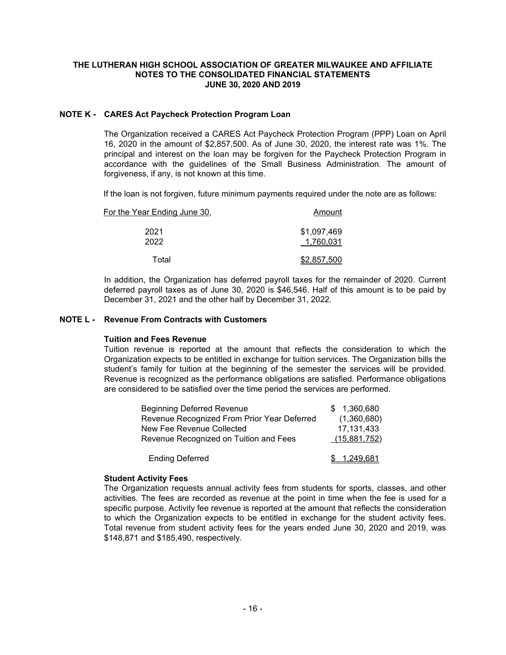### **NOTE K - CARES Act Paycheck Protection Program Loan**

The Organization received a CARES Act Paycheck Protection Program (PPP) Loan on April 16, 2020 in the amount of \$2,857,500. As of June 30, 2020, the interest rate was 1%. The principal and interest on the loan may be forgiven for the Paycheck Protection Program in accordance with the guidelines of the Small Business Administration. The amount of forgiveness, if any, is not known at this time.

If the loan is not forgiven, future minimum payments required under the note are as follows:

| Amount                   | For the Year Ending June 30, |  |  |  |  |  |  |
|--------------------------|------------------------------|--|--|--|--|--|--|
| \$1,097,469<br>1,760,031 | 2021<br>2022                 |  |  |  |  |  |  |
| \$2,857,500              | Total                        |  |  |  |  |  |  |

In addition, the Organization has deferred payroll taxes for the remainder of 2020. Current deferred payroll taxes as of June 30, 2020 is \$46,546. Half of this amount is to be paid by December 31, 2021 and the other half by December 31, 2022.

### **NOTE L - Revenue From Contracts with Customers**

#### **Tuition and Fees Revenue**

Tuition revenue is reported at the amount that reflects the consideration to which the Organization expects to be entitled in exchange for tuition services. The Organization bills the student's family for tuition at the beginning of the semester the services will be provided. Revenue is recognized as the performance obligations are satisfied. Performance obligations are considered to be satisfied over the time period the services are performed.

| <b>Beginning Deferred Revenue</b>           | \$1,360,680  |
|---------------------------------------------|--------------|
| Revenue Recognized From Prior Year Deferred | (1,360,680)  |
| New Fee Revenue Collected                   | 17, 131, 433 |
| Revenue Recognized on Tuition and Fees      | (15,881,752) |
| <b>Ending Deferred</b>                      | \$ 1,249,681 |

#### **Student Activity Fees**

The Organization requests annual activity fees from students for sports, classes, and other activities. The fees are recorded as revenue at the point in time when the fee is used for a specific purpose. Activity fee revenue is reported at the amount that reflects the consideration to which the Organization expects to be entitled in exchange for the student activity fees. Total revenue from student activity fees for the years ended June 30, 2020 and 2019, was \$148,871 and \$185,490, respectively.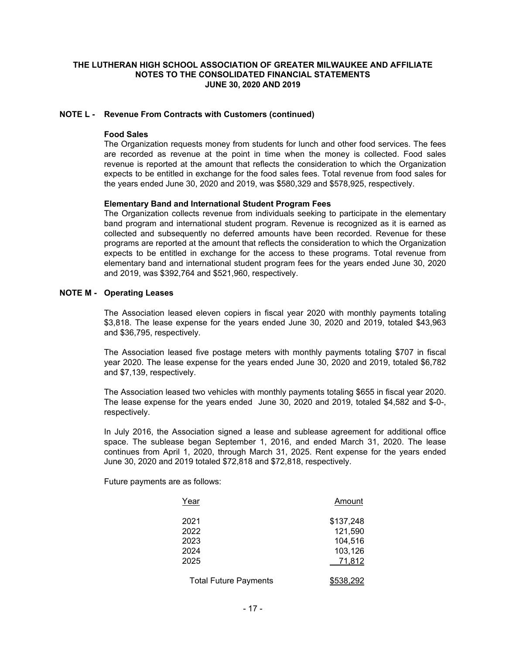#### **NOTE L - Revenue From Contracts with Customers (continued)**

#### **Food Sales**

The Organization requests money from students for lunch and other food services. The fees are recorded as revenue at the point in time when the money is collected. Food sales revenue is reported at the amount that reflects the consideration to which the Organization expects to be entitled in exchange for the food sales fees. Total revenue from food sales for the years ended June 30, 2020 and 2019, was \$580,329 and \$578,925, respectively.

#### **Elementary Band and International Student Program Fees**

The Organization collects revenue from individuals seeking to participate in the elementary band program and international student program. Revenue is recognized as it is earned as collected and subsequently no deferred amounts have been recorded. Revenue for these programs are reported at the amount that reflects the consideration to which the Organization expects to be entitled in exchange for the access to these programs. Total revenue from elementary band and international student program fees for the years ended June 30, 2020 and 2019, was \$392,764 and \$521,960, respectively.

#### **NOTE M - Operating Leases**

The Association leased eleven copiers in fiscal year 2020 with monthly payments totaling \$3,818. The lease expense for the years ended June 30, 2020 and 2019, totaled \$43,963 and \$36,795, respectively.

The Association leased five postage meters with monthly payments totaling \$707 in fiscal year 2020. The lease expense for the years ended June 30, 2020 and 2019, totaled \$6,782 and \$7,139, respectively.

The Association leased two vehicles with monthly payments totaling \$655 in fiscal year 2020. The lease expense for the years ended June 30, 2020 and 2019, totaled \$4,582 and \$-0-, respectively.

In July 2016, the Association signed a lease and sublease agreement for additional office space. The sublease began September 1, 2016, and ended March 31, 2020. The lease continues from April 1, 2020, through March 31, 2025. Rent expense for the years ended June 30, 2020 and 2019 totaled \$72,818 and \$72,818, respectively.

Future payments are as follows:

| Year                                 | Amount                                               |
|--------------------------------------|------------------------------------------------------|
| 2021<br>2022<br>2023<br>2024<br>2025 | \$137,248<br>121,590<br>104,516<br>103,126<br>71,812 |
| <b>Total Future Payments</b>         | <u>\$538,292</u>                                     |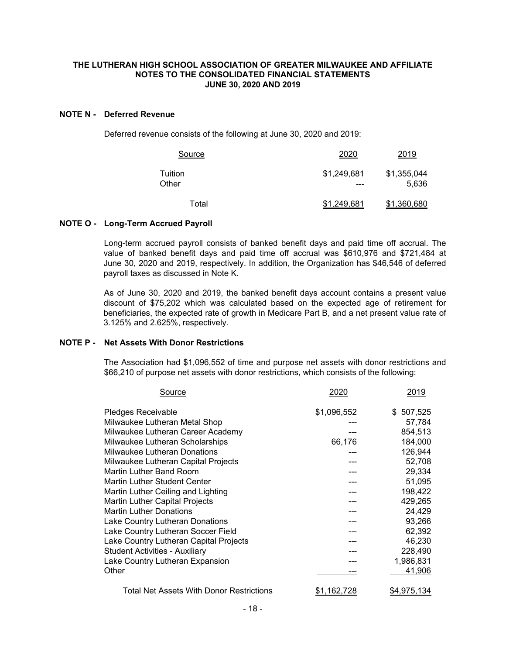#### **NOTE N - Deferred Revenue**

Deferred revenue consists of the following at June 30, 2020 and 2019:

| Source           | 2020               | 2019                 |
|------------------|--------------------|----------------------|
| Tuition<br>Other | \$1,249,681<br>--- | \$1,355,044<br>5,636 |
| Total            | \$1,249,681        | \$1,360,680          |

### **NOTE O - Long-Term Accrued Payroll**

Long-term accrued payroll consists of banked benefit days and paid time off accrual. The value of banked benefit days and paid time off accrual was \$610,976 and \$721,484 at June 30, 2020 and 2019, respectively. In addition, the Organization has \$46,546 of deferred payroll taxes as discussed in Note K.

 As of June 30, 2020 and 2019, the banked benefit days account contains a present value discount of \$75,202 which was calculated based on the expected age of retirement for beneficiaries, the expected rate of growth in Medicare Part B, and a net present value rate of 3.125% and 2.625%, respectively.

# **NOTE P - Net Assets With Donor Restrictions**

The Association had \$1,096,552 of time and purpose net assets with donor restrictions and \$66,210 of purpose net assets with donor restrictions, which consists of the following:

| Source                                   | 2020        | 2019               |
|------------------------------------------|-------------|--------------------|
| Pledges Receivable                       | \$1,096,552 | \$507,525          |
| Milwaukee Lutheran Metal Shop            |             | 57,784             |
| Milwaukee Lutheran Career Academy        |             | 854,513            |
| Milwaukee Lutheran Scholarships          | 66,176      | 184,000            |
| <b>Milwaukee Lutheran Donations</b>      |             | 126,944            |
| Milwaukee Lutheran Capital Projects      |             | 52,708             |
| Martin Luther Band Room                  |             | 29,334             |
| <b>Martin Luther Student Center</b>      |             | 51,095             |
| Martin Luther Ceiling and Lighting       |             | 198,422            |
| <b>Martin Luther Capital Projects</b>    |             | 429,265            |
| <b>Martin Luther Donations</b>           |             | 24,429             |
| Lake Country Lutheran Donations          |             | 93,266             |
| Lake Country Lutheran Soccer Field       |             | 62,392             |
| Lake Country Lutheran Capital Projects   |             | 46,230             |
| <b>Student Activities - Auxiliary</b>    |             | 228,490            |
| Lake Country Lutheran Expansion          |             | 1,986,831          |
| Other                                    |             | 41,906             |
| Total Net Assets With Donor Restrictions | 1.162.728   | <u>\$4,975,134</u> |
|                                          |             |                    |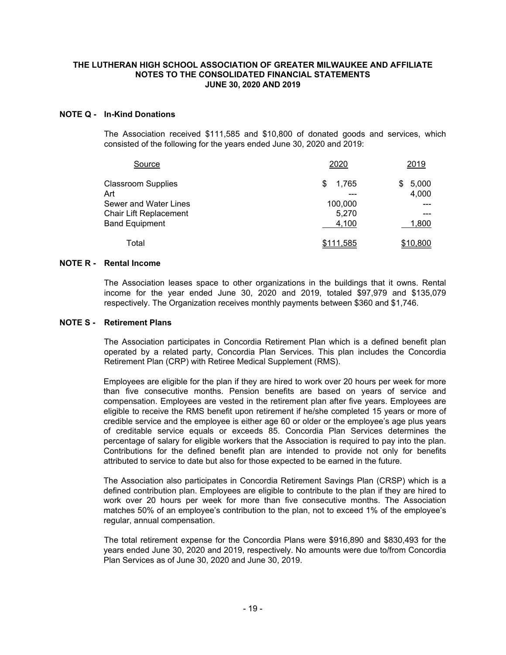#### **NOTE Q - In-Kind Donations**

The Association received \$111,585 and \$10,800 of donated goods and services, which consisted of the following for the years ended June 30, 2020 and 2019:

| Source                    | 2020         | 2019        |
|---------------------------|--------------|-------------|
| <b>Classroom Supplies</b> | 1,765<br>\$. | 5,000<br>S. |
| Art                       | ---          | 4,000       |
| Sewer and Water Lines     | 100,000      |             |
| Chair Lift Replacement    | 5,270        |             |
| <b>Band Equipment</b>     | 4,100        | 1,800       |
| Total                     | \$111,585    | \$10,800    |

#### **NOTE R - Rental Income**

The Association leases space to other organizations in the buildings that it owns. Rental income for the year ended June 30, 2020 and 2019, totaled \$97,979 and \$135,079 respectively. The Organization receives monthly payments between \$360 and \$1,746.

#### **NOTE S - Retirement Plans**

 The Association participates in Concordia Retirement Plan which is a defined benefit plan operated by a related party, Concordia Plan Services. This plan includes the Concordia Retirement Plan (CRP) with Retiree Medical Supplement (RMS).

Employees are eligible for the plan if they are hired to work over 20 hours per week for more than five consecutive months. Pension benefits are based on years of service and compensation. Employees are vested in the retirement plan after five years. Employees are eligible to receive the RMS benefit upon retirement if he/she completed 15 years or more of credible service and the employee is either age 60 or older or the employee's age plus years of creditable service equals or exceeds 85. Concordia Plan Services determines the percentage of salary for eligible workers that the Association is required to pay into the plan. Contributions for the defined benefit plan are intended to provide not only for benefits attributed to service to date but also for those expected to be earned in the future.

The Association also participates in Concordia Retirement Savings Plan (CRSP) which is a defined contribution plan. Employees are eligible to contribute to the plan if they are hired to work over 20 hours per week for more than five consecutive months. The Association matches 50% of an employee's contribution to the plan, not to exceed 1% of the employee's regular, annual compensation.

 The total retirement expense for the Concordia Plans were \$916,890 and \$830,493 for the years ended June 30, 2020 and 2019, respectively. No amounts were due to/from Concordia Plan Services as of June 30, 2020 and June 30, 2019.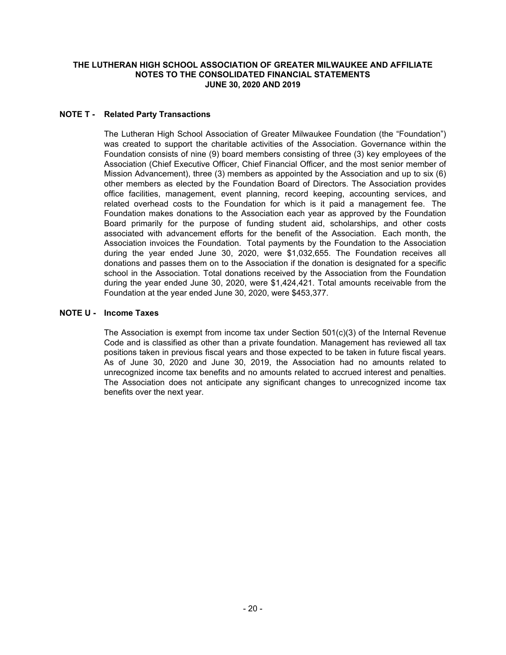# **NOTE T - Related Party Transactions**

The Lutheran High School Association of Greater Milwaukee Foundation (the "Foundation") was created to support the charitable activities of the Association. Governance within the Foundation consists of nine (9) board members consisting of three (3) key employees of the Association (Chief Executive Officer, Chief Financial Officer, and the most senior member of Mission Advancement), three (3) members as appointed by the Association and up to six (6) other members as elected by the Foundation Board of Directors. The Association provides office facilities, management, event planning, record keeping, accounting services, and related overhead costs to the Foundation for which is it paid a management fee. The Foundation makes donations to the Association each year as approved by the Foundation Board primarily for the purpose of funding student aid, scholarships, and other costs associated with advancement efforts for the benefit of the Association. Each month, the Association invoices the Foundation. Total payments by the Foundation to the Association during the year ended June 30, 2020, were \$1,032,655. The Foundation receives all donations and passes them on to the Association if the donation is designated for a specific school in the Association. Total donations received by the Association from the Foundation during the year ended June 30, 2020, were \$1,424,421. Total amounts receivable from the Foundation at the year ended June 30, 2020, were \$453,377.

#### **NOTE U - Income Taxes**

The Association is exempt from income tax under Section  $501(c)(3)$  of the Internal Revenue Code and is classified as other than a private foundation. Management has reviewed all tax positions taken in previous fiscal years and those expected to be taken in future fiscal years. As of June 30, 2020 and June 30, 2019, the Association had no amounts related to unrecognized income tax benefits and no amounts related to accrued interest and penalties. The Association does not anticipate any significant changes to unrecognized income tax benefits over the next year.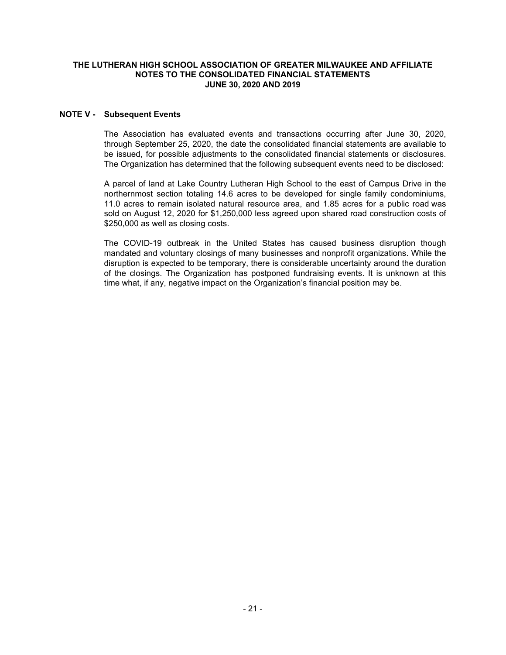#### **NOTE V - Subsequent Events**

The Association has evaluated events and transactions occurring after June 30, 2020, through September 25, 2020, the date the consolidated financial statements are available to be issued, for possible adjustments to the consolidated financial statements or disclosures. The Organization has determined that the following subsequent events need to be disclosed:

A parcel of land at Lake Country Lutheran High School to the east of Campus Drive in the northernmost section totaling 14.6 acres to be developed for single family condominiums, 11.0 acres to remain isolated natural resource area, and 1.85 acres for a public road was sold on August 12, 2020 for \$1,250,000 less agreed upon shared road construction costs of \$250,000 as well as closing costs.

The COVID-19 outbreak in the United States has caused business disruption though mandated and voluntary closings of many businesses and nonprofit organizations. While the disruption is expected to be temporary, there is considerable uncertainty around the duration of the closings. The Organization has postponed fundraising events. It is unknown at this time what, if any, negative impact on the Organization's financial position may be.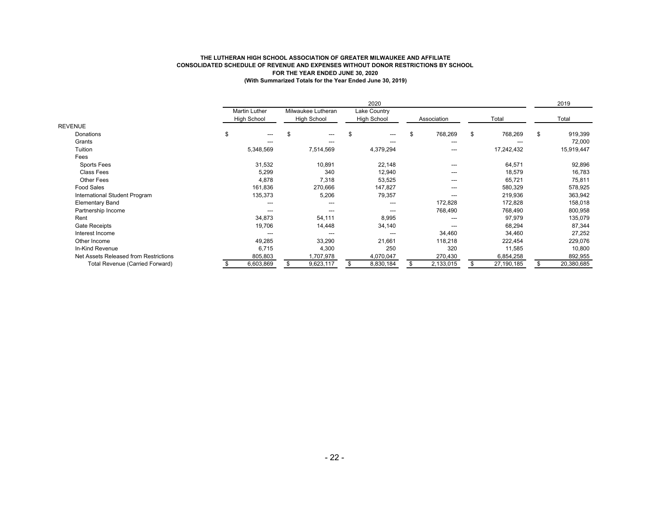#### **THE LUTHERAN HIGH SCHOOL ASSOCIATION OF GREATER MILWAUKEE AND AFFILIATE CONSOLIDATED SCHEDULE OF REVENUE AND EXPENSES WITHOUT DONOR RESTRICTIONS BY SCHOOL FOR THE YEAR ENDED JUNE 30, 2020 (With Summarized Totals for the Year Ended June 30, 2019)**

|                                       |                                            |                                   | 2020                               |               |               | 2019          |
|---------------------------------------|--------------------------------------------|-----------------------------------|------------------------------------|---------------|---------------|---------------|
|                                       | <b>Martin Luther</b><br><b>High School</b> | Milwaukee Lutheran<br>High School | Lake Country<br><b>High School</b> | Association   | Total         | Total         |
| <b>REVENUE</b>                        |                                            |                                   |                                    |               |               |               |
| Donations                             | \$<br>---                                  | \$                                | $---$                              | \$<br>768,269 | \$<br>768,269 | \$<br>919,399 |
| Grants                                | ---                                        | ---                               | ---                                | ---           | $---$         | 72,000        |
| Tuition                               | 5,348,569                                  | 7,514,569                         | 4,379,294                          | ---           | 17,242,432    | 15,919,447    |
| Fees                                  |                                            |                                   |                                    |               |               |               |
| Sports Fees                           | 31,532                                     | 10,891                            | 22,148                             | ---           | 64,571        | 92,896        |
| <b>Class Fees</b>                     | 5,299                                      | 340                               | 12,940                             | ---           | 18,579        | 16,783        |
| Other Fees                            | 4,878                                      | 7,318                             | 53,525                             | ---           | 65,721        | 75,811        |
| <b>Food Sales</b>                     | 161,836                                    | 270,666                           | 147,827                            | ---           | 580,329       | 578,925       |
| International Student Program         | 135,373                                    | 5,206                             | 79,357                             | ---           | 219,936       | 363,942       |
| <b>Elementary Band</b>                | ---                                        | ---                               | ---                                | 172,828       | 172,828       | 158,018       |
| Partnership Income                    | ---                                        | ---                               | ---                                | 768,490       | 768,490       | 800,958       |
| Rent                                  | 34,873                                     | 54,111                            | 8,995                              | $---$         | 97,979        | 135,079       |
| Gate Receipts                         | 19,706                                     | 14,448                            | 34,140                             | ---           | 68,294        | 87,344        |
| Interest Income                       | ---                                        | ---                               | $--$                               | 34,460        | 34,460        | 27,252        |
| Other Income                          | 49,285                                     | 33,290                            | 21,661                             | 118,218       | 222,454       | 229,076       |
| In-Kind Revenue                       | 6,715                                      | 4,300                             | 250                                | 320           | 11,585        | 10,800        |
| Net Assets Released from Restrictions | 805,803                                    | 1,707,978                         | 4,070,047                          | 270,430       | 6,854,258     | 892,955       |
| Total Revenue (Carried Forward)       | 6,603,869                                  | 9,623,117                         | 8,830,184                          | 2,133,015     | 27,190,185    | 20,380,685    |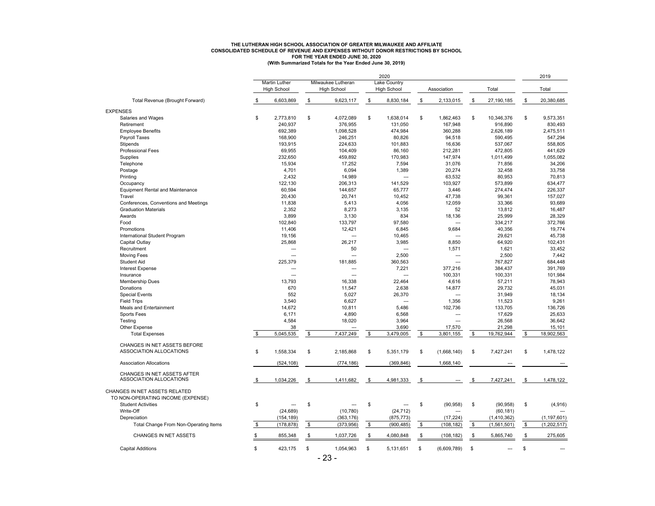#### **CONSOLIDATED SCHEDULE OF REVENUE AND EXPENSES WITHOUT DONOR RESTRICTIONS BY SCHOOL THE LUTHERAN HIGH SCHOOL ASSOCIATION OF GREATER MILWAUKEE AND AFFILIATE FOR THE YEAR ENDED JUNE 30, 2020 (With Summarized Totals for the Year Ended June 30, 2019)**

|                                         |              | <b>Martin Luther</b><br><b>High School</b> | Milwaukee Lutheran<br><b>High School</b> | 2020<br><b>Lake Country</b><br><b>High School</b> | Association       |     | Total       |            | 2019<br>Total |
|-----------------------------------------|--------------|--------------------------------------------|------------------------------------------|---------------------------------------------------|-------------------|-----|-------------|------------|---------------|
| Total Revenue (Brought Forward)         | \$           | 6,603,869                                  | \$<br>9,623,117                          | \$<br>8,830,184                                   | \$<br>2,133,015   | \$  | 27,190,185  | \$         | 20,380,685    |
| <b>EXPENSES</b>                         |              |                                            |                                          |                                                   |                   |     |             |            |               |
| Salaries and Wages                      | \$           | 2,773,810                                  | \$<br>4,072,089                          | \$<br>1,638,014                                   | \$<br>1,862,463   | S   | 10,346,376  | \$         | 9,573,351     |
| Retirement                              |              | 240,937                                    | 376,955                                  | 131,050                                           | 167,948           |     | 916,890     |            | 830,493       |
| <b>Employee Benefits</b>                |              | 692,389                                    | 1,098,528                                | 474,984                                           | 360,288           |     | 2,626,189   |            | 2,475,511     |
| Payroll Taxes                           |              | 168,900                                    | 246,251                                  | 80,826                                            | 94,518            |     | 590,495     |            | 547,294       |
| Stipends                                |              | 193,915                                    | 224,633                                  | 101,883                                           | 16,636            |     | 537,067     |            | 558,805       |
| Professional Fees                       |              | 69,955                                     | 104,409                                  | 86,160                                            | 212,281           |     | 472,805     |            | 441,629       |
| Supplies                                |              | 232,650                                    | 459,892                                  | 170,983                                           | 147,974           |     | 1,011,499   |            | 1,055,082     |
| Telephone                               |              | 15,934                                     | 17,252                                   | 7,594                                             | 31,076            |     | 71,856      |            | 34,206        |
| Postage                                 |              | 4,701                                      | 6,094                                    | 1,389                                             | 20,274            |     | 32,458      |            | 33.758        |
| Printing                                |              | 2,432                                      | 14,989                                   | ---                                               | 63,532            |     | 80,953      |            | 70,813        |
| Occupancy                               |              | 122,130                                    | 206,313                                  | 141,529                                           | 103,927           |     | 573,899     |            | 634,477       |
|                                         |              |                                            |                                          |                                                   |                   |     |             |            | 226,337       |
| <b>Equipment Rental and Maintenance</b> |              | 60,594                                     | 144,657                                  | 65,777                                            | 3,446             |     | 274,474     |            |               |
| Travel                                  |              | 20,430                                     | 20,741                                   | 10,452                                            | 47,738            |     | 99,361      |            | 157,027       |
| Conferences, Conventions and Meetings   |              | 11,838                                     | 5,413                                    | 4,056                                             | 12,059            |     | 33,366      |            | 93,689        |
| <b>Graduation Materials</b>             |              | 2,352                                      | 8,273                                    | 3,135                                             | 52                |     | 13,812      |            | 16,487        |
| Awards                                  |              | 3,899                                      | 3,130                                    | 834                                               | 18,136            |     | 25,999      |            | 28,329        |
| Food                                    |              | 102,840                                    | 133,797                                  | 97,580                                            |                   |     | 334,217     |            | 372,766       |
| Promotions                              |              | 11,406                                     | 12,421                                   | 6,845                                             | 9,684             |     | 40,356      |            | 19,774        |
| International Student Program           |              | 19,156                                     | $\overline{a}$                           | 10,465                                            |                   |     | 29,621      |            | 45,738        |
| Capital Outlay                          |              | 25,868                                     | 26,217                                   | 3,985                                             | 8,850             |     | 64,920      |            | 102,431       |
| Recruitment                             |              | $\overline{a}$                             | 50                                       | $\overline{a}$                                    | 1,571             |     | 1,621       |            | 33,452        |
| <b>Moving Fees</b>                      |              | $\overline{a}$                             | $\overline{a}$                           | 2,500                                             |                   |     | 2,500       |            | 7,442         |
| <b>Student Aid</b>                      |              | 225,379                                    | 181,885                                  | 360,563                                           | $\overline{a}$    |     | 767,827     |            | 684,448       |
| <b>Interest Expense</b>                 |              | ---                                        | $\overline{a}$                           | 7,221                                             | 377,216           |     | 384,437     |            | 391,769       |
| Insurance                               |              | $---$                                      | $\overline{a}$                           | $\overline{a}$                                    | 100,331           |     | 100,331     |            | 101,984       |
| Membership Dues                         |              | 13,793                                     | 16,338                                   | 22,464                                            | 4,616             |     | 57,211      |            | 78,943        |
| Donations                               |              | 670                                        | 11,547                                   | 2,638                                             | 14,877            |     | 29,732      |            | 45,031        |
| <b>Special Events</b>                   |              | 552                                        | 5,027                                    | 26,370                                            | ---               |     | 31,949      |            | 18,134        |
| <b>Field Trips</b>                      |              | 3,540                                      | 6,627                                    | ---                                               | 1,356             |     | 11,523      |            | 9,261         |
| Meals and Entertainment                 |              | 14,672                                     | 10,811                                   | 5,486                                             | 102,736           |     | 133,705     |            | 136,726       |
| Sports Fees                             |              | 6,171                                      | 4,890                                    | 6,568                                             | $\overline{a}$    |     | 17,629      |            | 25,633        |
| Testing                                 |              | 4,584                                      | 18,020                                   | 3,964                                             | $\overline{a}$    |     | 26,568      |            | 36,642        |
| Other Expense                           |              | 38                                         |                                          | 3,690                                             | 17,570            |     | 21,298      |            | 15,101        |
| <b>Total Expenses</b>                   | \$           | 5,045,535                                  | \$<br>7,437,249                          | \$<br>3,479,005                                   | \$<br>3,801,155   | \$  | 19,762,944  | \$         | 18,902,563    |
|                                         |              |                                            |                                          |                                                   |                   |     |             |            |               |
| CHANGES IN NET ASSETS BEFORE            |              |                                            |                                          |                                                   |                   |     |             |            |               |
| ASSOCIATION ALLOCATIONS                 | \$           | 1,558,334                                  | \$<br>2,185,868                          | \$<br>5,351,179                                   | \$<br>(1,668,140) | \$  | 7,427,241   | \$         | 1,478,122     |
| <b>Association Allocations</b>          |              | (524, 108)                                 | (774, 186)                               | (369, 846)                                        | 1,668,140         |     |             |            |               |
|                                         |              |                                            |                                          |                                                   |                   |     |             |            |               |
| CHANGES IN NET ASSETS AFTER             |              |                                            |                                          |                                                   |                   |     |             |            |               |
| ASSOCIATION ALLOCATIONS                 | \$           | 1,034,226                                  | \$<br>1,411,682                          | \$<br>4,981,333                                   | \$                | -\$ | 7,427,241   | $\sqrt{3}$ | 1,478,122     |
| CHANGES IN NET ASSETS RELATED           |              |                                            |                                          |                                                   |                   |     |             |            |               |
| TO NON-OPERATING INCOME (EXPENSE)       |              |                                            |                                          |                                                   |                   |     |             |            |               |
| <b>Student Activities</b>               | \$           | $\overline{a}$                             | \$<br>$\sim$                             | \$<br>$\sim$                                      | \$<br>(90, 958)   | \$  | (90, 958)   | \$         | (4,916)       |
| Write-Off                               |              | (24, 689)                                  | (10, 780)                                | (24, 712)                                         |                   |     | (60, 181)   |            |               |
| Depreciation                            |              | (154, 189)                                 | (363, 176)                               | (875, 773)                                        | (17, 224)         |     | (1,410,362) |            | (1, 197, 601) |
| Total Change From Non-Operating Items   | \$           | (178, 878)                                 | \$<br>(373,956)                          | \$<br>(900, 485)                                  | \$<br>(108, 182)  | \$  | (1,561,501) | \$         | (1,202,517)   |
|                                         |              |                                            |                                          |                                                   |                   |     |             |            |               |
| CHANGES IN NET ASSETS                   | \$           | 855,348                                    | \$<br>1,037,726                          | \$<br>4,080,848                                   | \$<br>(108, 182)  | \$  | 5,865,740   | \$         | 275,605       |
|                                         |              |                                            |                                          |                                                   |                   |     |             |            |               |
| <b>Capital Additions</b>                | $\mathbb{S}$ | 423,175                                    | \$<br>1,054,963                          | \$<br>5,131,651                                   | \$<br>(6,609,789) | \$  |             | \$         |               |
|                                         |              |                                            |                                          |                                                   |                   |     |             |            |               |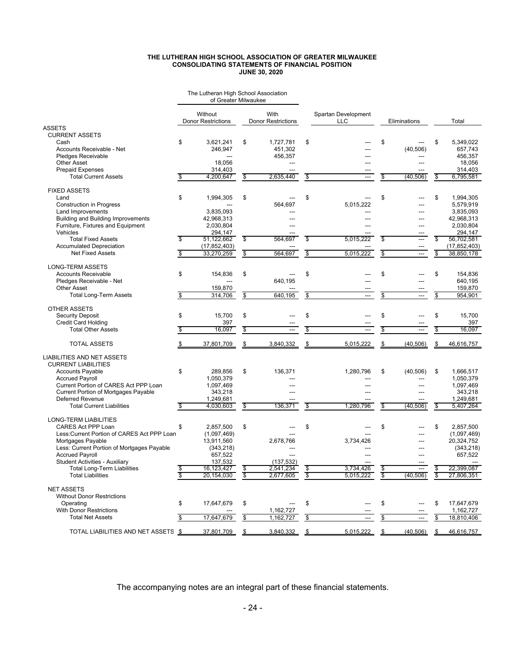#### **THE LUTHERAN HIGH SCHOOL ASSOCIATION OF GREATER MILWAUKEE CONSOLIDATING STATEMENTS OF FINANCIAL POSITION JUNE 30, 2020**

|                                             |    | The Lutheran High School Association<br>of Greater Milwaukee |                          |                                   |                    |                                   |                         |                |              |                        |
|---------------------------------------------|----|--------------------------------------------------------------|--------------------------|-----------------------------------|--------------------|-----------------------------------|-------------------------|----------------|--------------|------------------------|
|                                             |    | Without<br><b>Donor Restrictions</b>                         |                          | With<br><b>Donor Restrictions</b> |                    | Spartan Development<br><b>LLC</b> |                         | Eliminations   |              | Total                  |
| ASSETS                                      |    |                                                              |                          |                                   |                    |                                   |                         |                |              |                        |
| <b>CURRENT ASSETS</b>                       |    |                                                              |                          |                                   |                    |                                   |                         |                |              |                        |
| Cash                                        | \$ | 3,621,241                                                    | \$                       | 1,727,781                         | \$                 |                                   | \$                      |                | \$           | 5,349,022              |
| Accounts Receivable - Net                   |    | 246,947                                                      |                          | 451,302                           |                    |                                   |                         | (40, 506)      |              | 657,743                |
| Pledges Receivable                          |    |                                                              |                          | 456,357                           |                    |                                   |                         |                |              | 456,357                |
| <b>Other Asset</b>                          |    | 18,056                                                       |                          | ---                               |                    | ---                               |                         | ---            |              | 18,056                 |
| <b>Prepaid Expenses</b>                     |    | 314,403                                                      |                          | ---                               |                    |                                   |                         | ---            |              | 314,403                |
| <b>Total Current Assets</b>                 | \$ | 4,200,647                                                    | \$                       | 2,635,440                         | \$                 | ---                               | \$                      | (40, 506)      | \$           | 6,795,581              |
| <b>FIXED ASSETS</b>                         |    |                                                              |                          |                                   |                    |                                   |                         |                |              |                        |
| Land                                        | \$ | 1,994,305                                                    | \$                       |                                   | \$                 |                                   | \$                      |                | \$           | 1,994,305              |
|                                             |    |                                                              |                          | 564,697                           |                    | 5,015,222                         |                         | ---            |              |                        |
| <b>Construction in Progress</b>             |    | 3,835,093                                                    |                          |                                   |                    |                                   |                         |                |              | 5,579,919<br>3,835,093 |
| Land Improvements                           |    |                                                              |                          |                                   |                    |                                   |                         |                |              |                        |
| <b>Building and Building Improvements</b>   |    | 42,968,313                                                   |                          | ---                               |                    | ---                               |                         | ---            |              | 42,968,313             |
| Furniture, Fixtures and Equipment           |    | 2,030,804                                                    |                          |                                   |                    |                                   |                         | ---            |              | 2,030,804              |
| Vehicles                                    |    | 294,147                                                      |                          |                                   |                    |                                   |                         | ---            |              | 294,147                |
| <b>Total Fixed Assets</b>                   | S  | 51,122,662                                                   | \$                       | 564,697                           | S                  | 5,015,222                         | $\overline{\mathbf{s}}$ | ---            | S            | 56,702,581             |
| <b>Accumulated Depreciation</b>             |    | (17, 852, 403)                                               |                          |                                   |                    |                                   |                         | ---            |              | (17, 852, 403)         |
| <b>Net Fixed Assets</b>                     | \$ | 33,270,259                                                   | \$                       | 564,697                           | \$                 | 5,015,222                         | \$                      | ---            | \$           | 38,850,178             |
| <b>LONG-TERM ASSETS</b>                     |    |                                                              |                          |                                   |                    |                                   |                         |                |              |                        |
| <b>Accounts Receivable</b>                  | \$ | 154,836                                                      | \$                       |                                   | \$                 |                                   | \$                      |                | \$           | 154,836                |
| Pledges Receivable - Net                    |    |                                                              |                          | 640,195                           |                    |                                   |                         |                |              | 640,195                |
| <b>Other Asset</b>                          |    | 159,870                                                      |                          |                                   |                    |                                   |                         |                |              | 159,870                |
| Total Long-Term Assets                      | \$ | 314,706                                                      | \$                       | 640,195                           | \$                 | $\overline{a}$                    | \$                      | $\overline{a}$ | \$           | 954,901                |
|                                             |    |                                                              |                          |                                   |                    |                                   |                         |                |              |                        |
| OTHER ASSETS                                |    |                                                              |                          |                                   |                    |                                   |                         |                |              |                        |
| <b>Security Deposit</b>                     | \$ | 15,700                                                       | \$                       |                                   | \$                 |                                   | \$                      |                | \$           | 15,700                 |
| <b>Credit Card Holding</b>                  |    | 397                                                          |                          |                                   |                    |                                   |                         |                |              | 397                    |
| <b>Total Other Assets</b>                   | \$ | 16.097                                                       | $\overline{\$}$          | ---                               | \$                 | $\overline{a}$                    | $\overline{\$}$         | ---            | $\mathsf{S}$ | 16.097                 |
| <b>TOTAL ASSETS</b>                         |    | 37,801,709                                                   | -\$                      | 3,840,332                         | \$                 | 5,015,222                         | \$                      | (40, 506)      | \$           | 46,616,757             |
| LIABILITIES AND NET ASSETS                  |    |                                                              |                          |                                   |                    |                                   |                         |                |              |                        |
| <b>CURRENT LIABILITIES</b>                  |    |                                                              |                          |                                   |                    |                                   |                         |                |              |                        |
| <b>Accounts Payable</b>                     | \$ | 289,856                                                      | \$                       | 136,371                           |                    | 1,280,796                         | \$                      | (40, 506)      | \$           | 1,666,517              |
| <b>Accrued Payroll</b>                      |    | 1,050,379                                                    |                          |                                   |                    |                                   |                         | ---            |              | 1,050,379              |
| Current Portion of CARES Act PPP Loan       |    | 1,097,469                                                    |                          |                                   |                    |                                   |                         | ---            |              | 1,097,469              |
| <b>Current Portion of Mortgages Payable</b> |    | 343,218                                                      |                          |                                   |                    |                                   |                         | ---            |              | 343,218                |
| <b>Deferred Revenue</b>                     |    | 1,249,681                                                    |                          |                                   |                    |                                   |                         |                |              | 1,249,681              |
| <b>Total Current Liabilities</b>            | \$ | 4,030,603                                                    | \$                       | 136,371                           | \$                 | 1,280,796                         | \$                      | (40, 506)      | \$           | 5,407,264              |
|                                             |    |                                                              |                          |                                   |                    |                                   |                         |                |              |                        |
| LONG-TERM LIABILITIES                       |    |                                                              |                          |                                   |                    |                                   |                         |                |              |                        |
| CARES Act PPP Loan                          | \$ | 2,857,500                                                    | \$                       |                                   | \$                 |                                   | \$                      | ---            | \$           | 2,857,500              |
| Less: Current Portion of CARES Act PPP Loan |    | (1,097,469)                                                  |                          |                                   |                    |                                   |                         |                |              | (1,097,469)            |
| Mortgages Payable                           |    | 13,911,560                                                   |                          | 2,678,766                         |                    | 3,734,426                         |                         |                |              | 20,324,752             |
| Less: Current Portion of Mortgages Payable  |    | (343, 218)                                                   |                          | ---                               |                    | ---                               |                         | ---            |              | (343, 218)             |
| <b>Accrued Payroll</b>                      |    | 657,522                                                      |                          |                                   |                    | ---                               |                         | ---            |              | 657,522                |
| Student Activities - Auxiliary              |    | 137,532                                                      |                          | (137, 532)                        |                    | ---                               |                         |                |              |                        |
| Total Long-Term Liabilities                 | \$ | 16,123,427                                                   | \$                       | 2,541,234                         | \$                 | 3,734,426                         | \$                      | ---            | \$           | 22,399,087             |
| <b>Total Liabilities</b>                    | s. | 20,154,030                                                   | $\overline{\mathcal{E}}$ | 2,677,605                         | $\overline{\$}$    | 5,015,222                         | \$                      | (40, 506)      | \$           | 27,806,351             |
| <b>NET ASSETS</b>                           |    |                                                              |                          |                                   |                    |                                   |                         |                |              |                        |
| <b>Without Donor Restrictions</b>           |    |                                                              |                          |                                   |                    |                                   |                         |                |              |                        |
| Operating                                   | \$ | 17,647,679                                                   | \$                       |                                   | \$                 |                                   | \$                      |                | \$           | 17,647,679             |
| <b>With Donor Restrictions</b>              |    |                                                              |                          | 1,162,727                         |                    |                                   |                         |                |              | 1,162,727              |
| <b>Total Net Assets</b>                     | \$ | 17,647,679                                                   | \$                       | 1,162,727                         | \$                 | ---                               |                         | ---            |              | 18,810,406             |
|                                             |    |                                                              |                          |                                   |                    |                                   | \$                      |                | \$           |                        |
| TOTAL LIABILITIES AND NET ASSETS \$         |    | 37,801,709                                                   | $\mathbf{s}$             | 3,840,332                         | $\mathbf{\hat{s}}$ | 5,015,222                         | $\mathfrak{s}$          | (40, 506)      | - \$         | 46,616,757             |